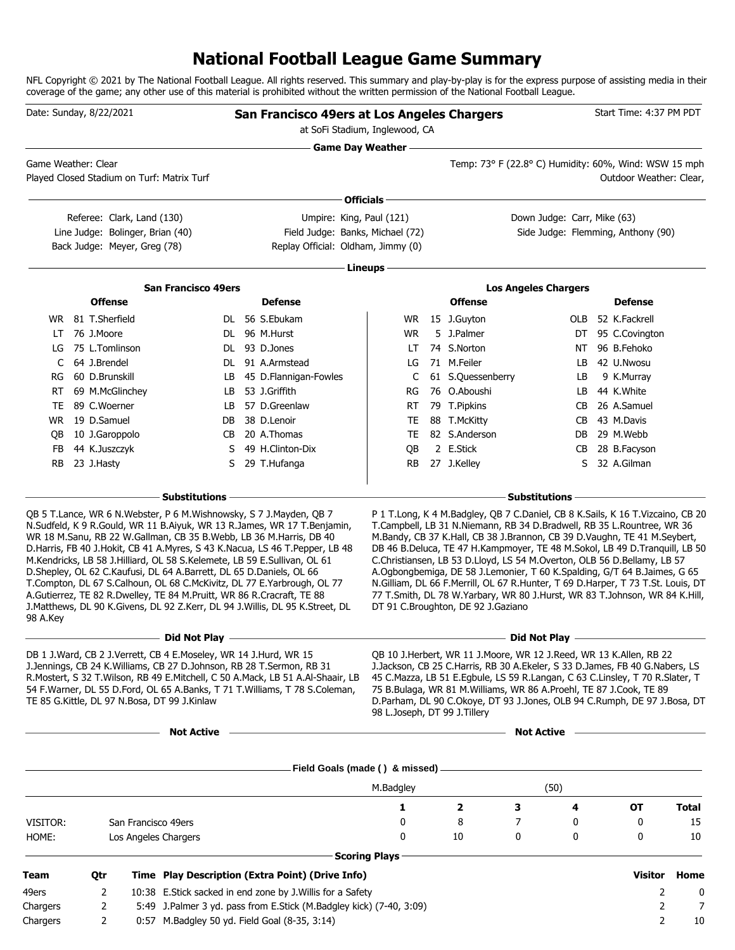# **National Football League Game Summary**

NFL Copyright © 2021 by The National Football League. All rights reserved. This summary and play-by-play is for the express purpose of assisting media in their coverage of the game; any other use of this material is prohibited without the written permission of the National Football League.

| Date: Sunday, 8/22/2021 |                   |                 |                                                                                                | San Francisco 49ers at Los Angeles Chargers<br>at SoFi Stadium, Inglewood, CA                                                                                                                                                                                                                  |                                                                                                                                                                                                                                            |                              |                                                                                                                                                                                                                                                                                                                                                                                                                                                                                                                      |                                                       | Start Time: 4:37 PM PDT |                                    |              |
|-------------------------|-------------------|-----------------|------------------------------------------------------------------------------------------------|------------------------------------------------------------------------------------------------------------------------------------------------------------------------------------------------------------------------------------------------------------------------------------------------|--------------------------------------------------------------------------------------------------------------------------------------------------------------------------------------------------------------------------------------------|------------------------------|----------------------------------------------------------------------------------------------------------------------------------------------------------------------------------------------------------------------------------------------------------------------------------------------------------------------------------------------------------------------------------------------------------------------------------------------------------------------------------------------------------------------|-------------------------------------------------------|-------------------------|------------------------------------|--------------|
| Game Weather: Clear     |                   |                 |                                                                                                | Played Closed Stadium on Turf: Matrix Turf                                                                                                                                                                                                                                                     | <b>Game Day Weather -</b>                                                                                                                                                                                                                  |                              |                                                                                                                                                                                                                                                                                                                                                                                                                                                                                                                      | Temp: 73° F (22.8° C) Humidity: 60%, Wind: WSW 15 mph |                         | Outdoor Weather: Clear,            |              |
|                         |                   |                 |                                                                                                |                                                                                                                                                                                                                                                                                                | Officials -                                                                                                                                                                                                                                |                              |                                                                                                                                                                                                                                                                                                                                                                                                                                                                                                                      |                                                       |                         |                                    |              |
|                         |                   |                 | Referee: Clark, Land (130)<br>Line Judge: Bolinger, Brian (40)<br>Back Judge: Meyer, Greg (78) |                                                                                                                                                                                                                                                                                                | Umpire: King, Paul (121)<br>Field Judge: Banks, Michael (72)<br>Replay Official: Oldham, Jimmy (0)                                                                                                                                         |                              |                                                                                                                                                                                                                                                                                                                                                                                                                                                                                                                      | Down Judge: Carr, Mike (63)                           |                         | Side Judge: Flemming, Anthony (90) |              |
|                         |                   |                 |                                                                                                |                                                                                                                                                                                                                                                                                                |                                                                                                                                                                                                                                            | Lineups -                    |                                                                                                                                                                                                                                                                                                                                                                                                                                                                                                                      |                                                       |                         |                                    |              |
|                         |                   |                 |                                                                                                |                                                                                                                                                                                                                                                                                                |                                                                                                                                                                                                                                            |                              |                                                                                                                                                                                                                                                                                                                                                                                                                                                                                                                      |                                                       |                         |                                    |              |
|                         |                   | <b>Offense</b>  |                                                                                                | <b>San Francisco 49ers</b>                                                                                                                                                                                                                                                                     | <b>Defense</b>                                                                                                                                                                                                                             |                              | <b>Offense</b>                                                                                                                                                                                                                                                                                                                                                                                                                                                                                                       | <b>Los Angeles Chargers</b>                           |                         | <b>Defense</b>                     |              |
|                         | WR 81 T.Sherfield |                 |                                                                                                |                                                                                                                                                                                                                                                                                                | DL 56 S.Ebukam                                                                                                                                                                                                                             |                              | WR 15 J.Guyton                                                                                                                                                                                                                                                                                                                                                                                                                                                                                                       |                                                       | OLB                     | 52 K.Fackrell                      |              |
| LT                      |                   | 76 J.Moore      |                                                                                                |                                                                                                                                                                                                                                                                                                | DL 96 M.Hurst                                                                                                                                                                                                                              | WR                           | 5 J.Palmer                                                                                                                                                                                                                                                                                                                                                                                                                                                                                                           |                                                       | DT                      | 95 C.Covington                     |              |
| LG                      | 75 L.Tomlinson    |                 |                                                                                                |                                                                                                                                                                                                                                                                                                | DL 93 D.Jones                                                                                                                                                                                                                              | LT.                          | 74 S.Norton                                                                                                                                                                                                                                                                                                                                                                                                                                                                                                          |                                                       | ΝT                      | 96 B.Fehoko                        |              |
| C                       |                   | 64 J.Brendel    |                                                                                                |                                                                                                                                                                                                                                                                                                | DL 91 A.Armstead                                                                                                                                                                                                                           | LG                           | 71 M.Feiler                                                                                                                                                                                                                                                                                                                                                                                                                                                                                                          |                                                       | LB                      | 42 U.Nwosu                         |              |
| RG                      |                   | 60 D.Brunskill  |                                                                                                | LB                                                                                                                                                                                                                                                                                             | 45 D.Flannigan-Fowles                                                                                                                                                                                                                      | C                            | 61 S.Quessenberry                                                                                                                                                                                                                                                                                                                                                                                                                                                                                                    |                                                       | LB                      | 9 K.Murray                         |              |
| RT.                     |                   | 69 M.McGlinchey |                                                                                                | LB                                                                                                                                                                                                                                                                                             | 53 J.Griffith                                                                                                                                                                                                                              | RG                           | 76 O.Aboushi                                                                                                                                                                                                                                                                                                                                                                                                                                                                                                         |                                                       | LB.                     | 44 K.White                         |              |
| TE.                     |                   | 89 C.Woerner    |                                                                                                | LB.                                                                                                                                                                                                                                                                                            | 57 D.Greenlaw                                                                                                                                                                                                                              | <b>RT</b>                    | 79 T.Pipkins                                                                                                                                                                                                                                                                                                                                                                                                                                                                                                         |                                                       | CB                      | 26 A.Samuel                        |              |
| WR.                     |                   | 19 D.Samuel     |                                                                                                | DB                                                                                                                                                                                                                                                                                             | 38 D.Lenoir                                                                                                                                                                                                                                | TE                           | 88 T.McKitty                                                                                                                                                                                                                                                                                                                                                                                                                                                                                                         |                                                       | CВ                      | 43 M.Davis                         |              |
| QB                      |                   | 10 J.Garoppolo  |                                                                                                | CB                                                                                                                                                                                                                                                                                             | 20 A.Thomas                                                                                                                                                                                                                                | TE                           | 82 S.Anderson                                                                                                                                                                                                                                                                                                                                                                                                                                                                                                        |                                                       | DB                      | 29 M.Webb                          |              |
| FB.                     |                   | 44 K.Juszczyk   |                                                                                                | S                                                                                                                                                                                                                                                                                              | 49 H.Clinton-Dix                                                                                                                                                                                                                           | QB                           | 2 E.Stick                                                                                                                                                                                                                                                                                                                                                                                                                                                                                                            |                                                       | CВ                      | 28 B.Facyson                       |              |
| <b>RB</b>               | 23 J.Hasty        |                 |                                                                                                | S                                                                                                                                                                                                                                                                                              | 29 T.Hufanga                                                                                                                                                                                                                               | RB                           | 27 J.Kelley                                                                                                                                                                                                                                                                                                                                                                                                                                                                                                          |                                                       | S                       | 32 A.Gilman                        |              |
|                         |                   |                 |                                                                                                | - Substitutions                                                                                                                                                                                                                                                                                |                                                                                                                                                                                                                                            |                              |                                                                                                                                                                                                                                                                                                                                                                                                                                                                                                                      | <b>Substitutions</b>                                  |                         |                                    |              |
| 98 A.Key                |                   |                 |                                                                                                | WR 18 M.Sanu, RB 22 W.Gallman, CB 35 B.Webb, LB 36 M.Harris, DB 40<br>M.Kendricks, LB 58 J.Hilliard, OL 58 S.Kelemete, LB 59 E.Sullivan, OL 61<br>D.Shepley, OL 62 C.Kaufusi, DL 64 A.Barrett, DL 65 D.Daniels, OL 66<br>A.Gutierrez, TE 82 R.Dwelley, TE 84 M.Pruitt, WR 86 R.Cracraft, TE 88 | D. Harris, FB 40 J. Hokit, CB 41 A. Myres, S 43 K. Nacua, LS 46 T. Pepper, LB 48<br>T.Compton, DL 67 S.Calhoun, OL 68 C.McKivitz, DL 77 E.Yarbrough, OL 77<br>J.Matthews, DL 90 K.Givens, DL 92 Z.Kerr, DL 94 J.Willis, DL 95 K.Street, DL |                              | M.Bandy, CB 37 K.Hall, CB 38 J.Brannon, CB 39 D.Vaughn, TE 41 M.Seybert,<br>DB 46 B.Deluca, TE 47 H.Kampmoyer, TE 48 M.Sokol, LB 49 D.Tranguill, LB 50<br>C.Christiansen, LB 53 D.Lloyd, LS 54 M.Overton, OLB 56 D.Bellamy, LB 57<br>A.Ogbongbemiga, DE 58 J.Lemonier, T 60 K.Spalding, G/T 64 B.Jaimes, G 65<br>N.Gilliam, DL 66 F.Merrill, OL 67 R.Hunter, T 69 D.Harper, T 73 T.St. Louis, DT<br>77 T.Smith, DL 78 W.Yarbary, WR 80 J.Hurst, WR 83 T.Johnson, WR 84 K.Hill,<br>DT 91 C.Broughton, DE 92 J.Gaziano |                                                       |                         |                                    |              |
|                         |                   |                 |                                                                                                | Did Not Play                                                                                                                                                                                                                                                                                   |                                                                                                                                                                                                                                            |                              |                                                                                                                                                                                                                                                                                                                                                                                                                                                                                                                      | Did Not Play                                          |                         |                                    |              |
|                         |                   |                 |                                                                                                | DB 1 J. Ward, CB 2 J. Verrett, CB 4 E. Moseley, WR 14 J. Hurd, WR 15<br>J.Jennings, CB 24 K.Williams, CB 27 D.Johnson, RB 28 T.Sermon, RB 31<br>TE 85 G.Kittle, DL 97 N.Bosa, DT 99 J.Kinlaw                                                                                                   | R.Mostert, S 32 T.Wilson, RB 49 E.Mitchell, C 50 A.Mack, LB 51 A.Al-Shaair, LB<br>54 F.Warner, DL 55 D.Ford, OL 65 A.Banks, T 71 T.Williams, T 78 S.Coleman,                                                                               | 98 L.Joseph, DT 99 J.Tillery | QB 10 J.Herbert, WR 11 J.Moore, WR 12 J.Reed, WR 13 K.Allen, RB 22<br>J.Jackson, CB 25 C.Harris, RB 30 A.Ekeler, S 33 D.James, FB 40 G.Nabers, LS<br>45 C.Mazza, LB 51 E.Egbule, LS 59 R.Langan, C 63 C.Linsley, T 70 R.Slater, T<br>75 B.Bulaga, WR 81 M.Williams, WR 86 A.Proehl, TE 87 J.Cook, TE 89<br>D.Parham, DL 90 C.Okoye, DT 93 J.Jones, OLB 94 C.Rumph, DE 97 J.Bosa, DT                                                                                                                                  |                                                       |                         |                                    |              |
|                         |                   |                 |                                                                                                | <b>Not Active</b>                                                                                                                                                                                                                                                                              | the control of the control of the control of the control of the control of the control of                                                                                                                                                  |                              |                                                                                                                                                                                                                                                                                                                                                                                                                                                                                                                      | Not Active –                                          |                         |                                    |              |
|                         |                   |                 |                                                                                                |                                                                                                                                                                                                                                                                                                |                                                                                                                                                                                                                                            |                              |                                                                                                                                                                                                                                                                                                                                                                                                                                                                                                                      |                                                       |                         |                                    |              |
|                         |                   |                 |                                                                                                |                                                                                                                                                                                                                                                                                                |                                                                                                                                                                                                                                            | M.Badgley                    |                                                                                                                                                                                                                                                                                                                                                                                                                                                                                                                      | (50)                                                  |                         |                                    |              |
|                         |                   |                 |                                                                                                |                                                                                                                                                                                                                                                                                                |                                                                                                                                                                                                                                            | 1                            | $\mathbf{2}$                                                                                                                                                                                                                                                                                                                                                                                                                                                                                                         | 3                                                     | 4                       | OT                                 | <b>Total</b> |
| VISITOR:                |                   |                 |                                                                                                | San Francisco 49ers                                                                                                                                                                                                                                                                            |                                                                                                                                                                                                                                            | 0                            | 8                                                                                                                                                                                                                                                                                                                                                                                                                                                                                                                    | 7                                                     | 0                       | 0                                  | 15           |
| HOME:                   |                   |                 |                                                                                                | Los Angeles Chargers                                                                                                                                                                                                                                                                           |                                                                                                                                                                                                                                            | 0                            | 10                                                                                                                                                                                                                                                                                                                                                                                                                                                                                                                   | 0                                                     | 0                       | 0                                  | 10           |
|                         |                   |                 |                                                                                                |                                                                                                                                                                                                                                                                                                |                                                                                                                                                                                                                                            | <b>Scoring Plays</b>         |                                                                                                                                                                                                                                                                                                                                                                                                                                                                                                                      |                                                       |                         |                                    |              |
| <b>Team</b>             |                   | Qtr             |                                                                                                |                                                                                                                                                                                                                                                                                                | Time Play Description (Extra Point) (Drive Info)                                                                                                                                                                                           |                              |                                                                                                                                                                                                                                                                                                                                                                                                                                                                                                                      |                                                       |                         | <b>Visitor</b>                     | Home         |
| 49ers                   |                   | 2               |                                                                                                |                                                                                                                                                                                                                                                                                                | 10:38 E.Stick sacked in end zone by J. Willis for a Safety                                                                                                                                                                                 |                              |                                                                                                                                                                                                                                                                                                                                                                                                                                                                                                                      |                                                       |                         | 2                                  | 0            |
| Chargers                |                   | 2               |                                                                                                |                                                                                                                                                                                                                                                                                                | 5:49 J.Palmer 3 yd. pass from E.Stick (M.Badgley kick) (7-40, 3:09)                                                                                                                                                                        |                              |                                                                                                                                                                                                                                                                                                                                                                                                                                                                                                                      |                                                       |                         | 2                                  | 7            |
| Chargers                |                   | 2               |                                                                                                | 0:57 M.Badgley 50 yd. Field Goal (8-35, 3:14)                                                                                                                                                                                                                                                  |                                                                                                                                                                                                                                            |                              |                                                                                                                                                                                                                                                                                                                                                                                                                                                                                                                      |                                                       |                         | $\overline{2}$                     | 10           |
|                         |                   |                 |                                                                                                |                                                                                                                                                                                                                                                                                                |                                                                                                                                                                                                                                            |                              |                                                                                                                                                                                                                                                                                                                                                                                                                                                                                                                      |                                                       |                         |                                    |              |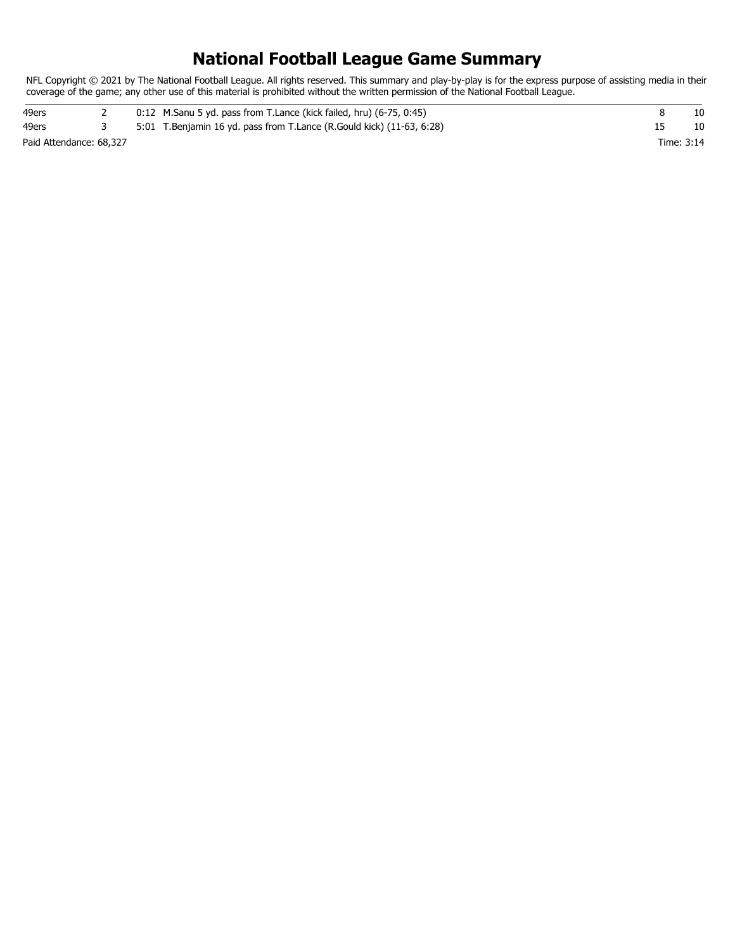# **National Football League Game Summary**

NFL Copyright © 2021 by The National Football League. All rights reserved. This summary and play-by-play is for the express purpose of assisting media in their coverage of the game; any other use of this material is prohibited without the written permission of the National Football League.

| 49ers                   |  | 0:12 M.Sanu 5 yd. pass from T.Lance (kick failed, hru) (6-75, 0:45)   |            |  |
|-------------------------|--|-----------------------------------------------------------------------|------------|--|
| 49ers                   |  | 5:01 T.Benjamin 16 yd. pass from T.Lance (R.Gould kick) (11-63, 6:28) |            |  |
| Paid Attendance: 68,327 |  |                                                                       | Time: 3:14 |  |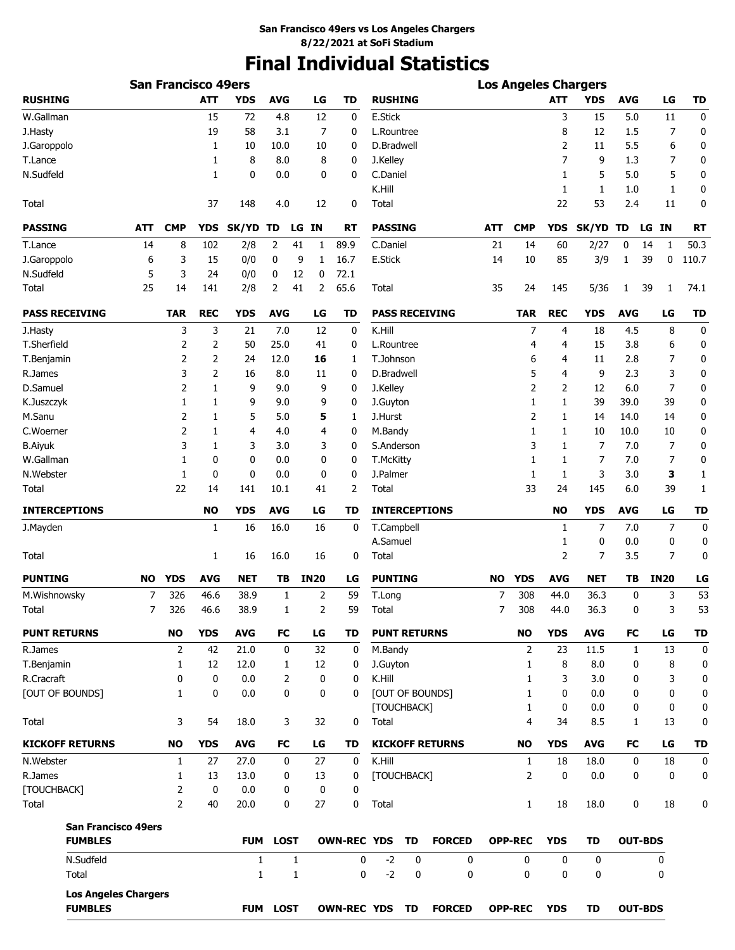# **Final Individual Statistics**

|                                               |           | <b>San Francisco 49ers</b> |                |              |             |              |                |                       |                      |    |                        |           |                   |              | <b>Los Angeles Chargers</b> |                   |                |             |
|-----------------------------------------------|-----------|----------------------------|----------------|--------------|-------------|--------------|----------------|-----------------------|----------------------|----|------------------------|-----------|-------------------|--------------|-----------------------------|-------------------|----------------|-------------|
| <b>RUSHING</b>                                |           |                            | <b>ATT</b>     | YDS          | <b>AVG</b>  |              | LG             | TD                    | <b>RUSHING</b>       |    |                        |           |                   | <b>ATT</b>   | YDS                         | <b>AVG</b>        | LG             | <b>TD</b>   |
| W.Gallman                                     |           |                            | 15             | 72           | 4.8         |              | 12             | 0                     | E.Stick              |    |                        |           |                   | 3            | 15                          | 5.0               | 11             | 0           |
| J.Hasty                                       |           |                            | 19             | 58           | 3.1         |              | 7              | 0                     | L.Rountree           |    |                        |           |                   | 8            | 12                          | 1.5               | 7              | 0           |
| J.Garoppolo                                   |           |                            | 1              | 10           | 10.0        |              | 10             | 0                     | D.Bradwell           |    |                        |           |                   | 2            | 11                          | 5.5               | 6              | 0           |
| T.Lance                                       |           |                            | 1              | 8            | 8.0         |              | 8              | 0                     | J.Kelley             |    |                        |           |                   | 7            | 9                           | 1.3               | 7              | 0           |
| N.Sudfeld                                     |           |                            | 1              | 0            | 0.0         |              | 0              | 0                     | C.Daniel             |    |                        |           |                   | 1            | 5                           | 5.0               | 5              | 0           |
|                                               |           |                            |                |              |             |              |                |                       | K.Hill               |    |                        |           |                   | 1            | 1                           | 1.0               | 1              | 0           |
| Total                                         |           |                            | 37             | 148          | 4.0         |              | 12             | 0                     | Total                |    |                        |           |                   | 22           | 53                          | 2.4               | 11             | 0           |
| <b>PASSING</b>                                | ATT       | <b>CMP</b>                 | <b>YDS</b>     | SK/YD        | TD          | LG           | ΙN             | RT                    | <b>PASSING</b>       |    |                        | ATT       | <b>CMP</b>        | <b>YDS</b>   | <b>SK/YD</b>                | TD                | LG IN          | <b>RT</b>   |
| T.Lance                                       | 14        | 8                          | 102            | 2/8          | 2           | 41           | 1              | 89.9                  | C.Daniel             |    |                        | 21        | 14                | 60           | 2/27                        | 0                 | 1<br>14        | 50.3        |
| J.Garoppolo                                   | 6         | 3                          | 15             | 0/0          | 0           | 9            | 1              | 16.7                  | E.Stick              |    |                        | 14        | 10                | 85           | 3/9                         | 1                 | 39<br>0        | 110.7       |
| N.Sudfeld                                     | 5         | 3                          | 24             | 0/0          | 0           | 12           | 0              | 72.1                  |                      |    |                        |           |                   |              |                             |                   |                |             |
| Total                                         | 25        | 14                         | 141            | 2/8          | 2           | 41           | 2              | 65.6                  | Total                |    |                        | 35        | 24                | 145          | 5/36                        | 1                 | 39<br>1        | 74.1        |
| <b>PASS RECEIVING</b>                         |           | <b>TAR</b>                 | <b>REC</b>     | <b>YDS</b>   | <b>AVG</b>  |              | LG             | <b>TD</b>             |                      |    | <b>PASS RECEIVING</b>  |           | <b>TAR</b>        | <b>REC</b>   | <b>YDS</b>                  | <b>AVG</b>        | LG             | <b>TD</b>   |
| J.Hasty                                       |           | 3                          | 3              | 21           | 7.0         |              | 12             | 0                     | K.Hill               |    |                        |           | 7                 | 4            | 18                          | 4.5               | 8              | 0           |
| T.Sherfield                                   |           | 2                          | 2              | 50           | 25.0        |              | 41             | 0                     | L.Rountree           |    |                        |           | 4                 | 4            | 15                          | 3.8               | 6              | 0           |
| T.Benjamin                                    |           | 2                          | $\overline{2}$ | 24           | 12.0        |              | 16             | 1                     | T.Johnson            |    |                        |           | 6                 | 4            | 11                          | 2.8               | 7              | 0           |
| R.James                                       |           | 3                          | $\overline{2}$ | 16           | 8.0         |              | 11             | 0                     | D.Bradwell           |    |                        |           | 5                 | 4            | 9                           | 2.3               | 3              | 0           |
| D.Samuel                                      |           | 2                          | 1              | 9            | 9.0         |              | 9              | 0                     | J.Kelley             |    |                        |           | 2                 | 2            | 12                          | 6.0               | 7              | 0           |
| K.Juszczyk                                    |           | 1                          | 1              | 9            | 9.0         |              | 9              | 0                     | J.Guyton             |    |                        |           | 1                 | 1            | 39                          | 39.0              | 39             | 0           |
| M.Sanu                                        |           | 2                          | 1              | 5            | 5.0         |              | 5              | 1                     | J.Hurst              |    |                        |           | 2                 | 1            | 14                          | 14.0              | 14             | 0           |
| C.Woerner                                     |           | 2                          | 1              | 4            | 4.0         |              | 4              | 0                     | M.Bandy              |    |                        |           | 1                 | 1            | 10                          | 10.0              | 10             | 0           |
| <b>B.Aiyuk</b>                                |           | 3                          | 1              | 3            | 3.0         |              | 3              | 0                     | S.Anderson           |    |                        |           | 3                 | 1            | 7                           | 7.0               | 7              | 0           |
| W.Gallman                                     |           | 1                          | 0              | 0            | 0.0         |              | 0              | 0                     | T.McKitty            |    |                        |           | 1                 | 1            | 7                           | 7.0               | 7              | 0           |
| N.Webster                                     |           | 1                          | 0              | 0            | 0.0         |              | 0              | 0                     | J.Palmer             |    |                        |           | 1                 | 1            | 3                           | 3.0               | 3              | 1           |
| Total                                         |           | 22                         | 14             | 141          | 10.1        |              | 41             | 2                     | Total                |    |                        |           | 33                | 24           | 145                         | 6.0               | 39             | 1           |
| <b>INTERCEPTIONS</b>                          |           |                            | <b>NO</b>      | <b>YDS</b>   | <b>AVG</b>  |              | LG             | <b>TD</b>             |                      |    | <b>INTERCEPTIONS</b>   |           |                   | <b>NO</b>    | <b>YDS</b>                  | <b>AVG</b>        | LG             | <b>TD</b>   |
| J.Mayden                                      |           |                            | 1              | 16           | 16.0        |              | 16             | 0                     | T.Campbell           |    |                        |           |                   | 1            | 7                           | 7.0               | 7              | $\mathbf 0$ |
|                                               |           |                            |                |              |             |              |                |                       | A.Samuel             |    |                        |           |                   | 1            | 0                           | 0.0               | 0              | 0           |
| Total                                         |           |                            | 1              | 16           | 16.0        |              | 16             | 0                     | Total                |    |                        |           |                   | 2            | 7                           | 3.5               | 7              | 0           |
| <b>PUNTING</b>                                | <b>NO</b> | <b>YDS</b>                 | <b>AVG</b>     | NET          | TΒ          |              | <b>IN20</b>    | LG                    | <b>PUNTING</b>       |    |                        | <b>NO</b> | <b>YDS</b>        | <b>AVG</b>   | <b>NET</b>                  | TВ                | <b>IN20</b>    | LG          |
| M.Wishnowsky                                  | 7         | 326                        | 46.6           | 38.9         | 1           |              | $\overline{2}$ | 59                    | T.Long               |    |                        | 7         | 308               | 44.0         | 36.3                        | 0                 | 3              | 53          |
| Total                                         | 7         | 326                        | 46.6           | 38.9         | 1           |              | 2              | 59                    | Total                |    |                        | 7         | 308               | 44.0         | 36.3                        | 0                 | 3              | 53          |
| <b>PUNT RETURNS</b>                           |           | <b>NO</b>                  | <b>YDS</b>     | <b>AVG</b>   | FC          |              | LG             | TD                    | <b>PUNT RETURNS</b>  |    |                        |           | NO                | <b>YDS</b>   | <b>AVG</b>                  | FC                | LG             | <b>TD</b>   |
| R.James                                       |           | $\overline{2}$             | 42             | 21.0         | 0           |              | 32             | 0                     | M.Bandy              |    |                        |           | 2                 | 23           | 11.5                        | 1                 | 13             | 0           |
| T.Benjamin                                    |           | 1                          | 12             | 12.0         | 1           |              | 12             | 0                     | J.Guyton             |    |                        |           | $\mathbf{1}$      | 8            | 8.0                         | 0                 | 8              | 0           |
| R.Cracraft                                    |           | 0                          | $\mathbf{0}$   | 0.0          | 2           |              | 0              | 0                     | K.Hill               |    |                        |           | 1                 | 3            | 3.0                         | 0                 | 3              | 0           |
| [OUT OF BOUNDS]                               |           | $\mathbf{1}$               | 0              | 0.0          | 0           |              | 0              | 0                     |                      |    | [OUT OF BOUNDS]        |           | $\mathbf{1}$      | 0            | 0.0                         | 0                 | 0              | 0           |
| Total                                         |           | 3                          | 54             | 18.0         | 3           |              | 32             | 0                     | [TOUCHBACK]<br>Total |    |                        |           | $\mathbf{1}$<br>4 | 0<br>34      | 0.0<br>8.5                  | 0<br>$\mathbf{1}$ | 0<br>13        | 0<br>0      |
| <b>KICKOFF RETURNS</b>                        |           | <b>NO</b>                  | <b>YDS</b>     | <b>AVG</b>   | FC          |              | LG             | TD                    |                      |    | <b>KICKOFF RETURNS</b> |           | <b>NO</b>         | <b>YDS</b>   | <b>AVG</b>                  | FC                | LG             | TD          |
| N.Webster                                     |           | 1                          | 27             | 27.0         | 0           |              | 27             | 0                     | K.Hill               |    |                        |           | $\mathbf{1}$      | 18           | 18.0                        | 0                 | 18             | 0           |
| R.James                                       |           | $\mathbf{1}$               | 13             | 13.0         | 0           |              | 13             | 0                     | [TOUCHBACK]          |    |                        |           | $\overline{2}$    | $\mathbf 0$  | 0.0                         | 0                 | 0              | 0           |
| [TOUCHBACK]                                   |           | 2                          | 0              | 0.0          | 0           |              | 0              | 0                     |                      |    |                        |           |                   |              |                             |                   |                |             |
| Total                                         |           | $\overline{2}$             | 40             | 20.0         | 0           |              | 27             | 0                     | Total                |    |                        |           | $\mathbf{1}$      | 18           | 18.0                        | 0                 | 18             | 0           |
| <b>San Francisco 49ers</b>                    |           |                            |                |              |             |              |                |                       |                      |    |                        |           |                   |              |                             |                   |                |             |
| <b>FUMBLES</b>                                |           |                            |                | <b>FUM</b>   | <b>LOST</b> |              |                | <b>OWN-REC YDS</b>    |                      | TD | <b>FORCED</b>          |           | <b>OPP-REC</b>    | <b>YDS</b>   | TD                          |                   | <b>OUT-BDS</b> |             |
| N.Sudfeld                                     |           |                            |                | $\mathbf{1}$ |             | $\mathbf{1}$ |                | 0                     | $-2$                 | 0  | $\mathbf{0}$           |           | 0                 | $\mathbf{0}$ | $\mathbf 0$                 |                   | $\mathbf 0$    |             |
| Total                                         |           |                            |                | 1            |             | 1            |                | 0                     | $-2$                 | 0  | 0                      |           | 0                 | $\mathbf{0}$ | 0                           |                   | 0              |             |
| <b>Los Angeles Chargers</b><br><b>FUMBLES</b> |           |                            |                |              | FUM LOST    |              |                | <b>OWN-REC YDS TD</b> |                      |    | <b>FORCED</b>          |           | <b>OPP-REC</b>    | <b>YDS</b>   | <b>TD</b>                   |                   | <b>OUT-BDS</b> |             |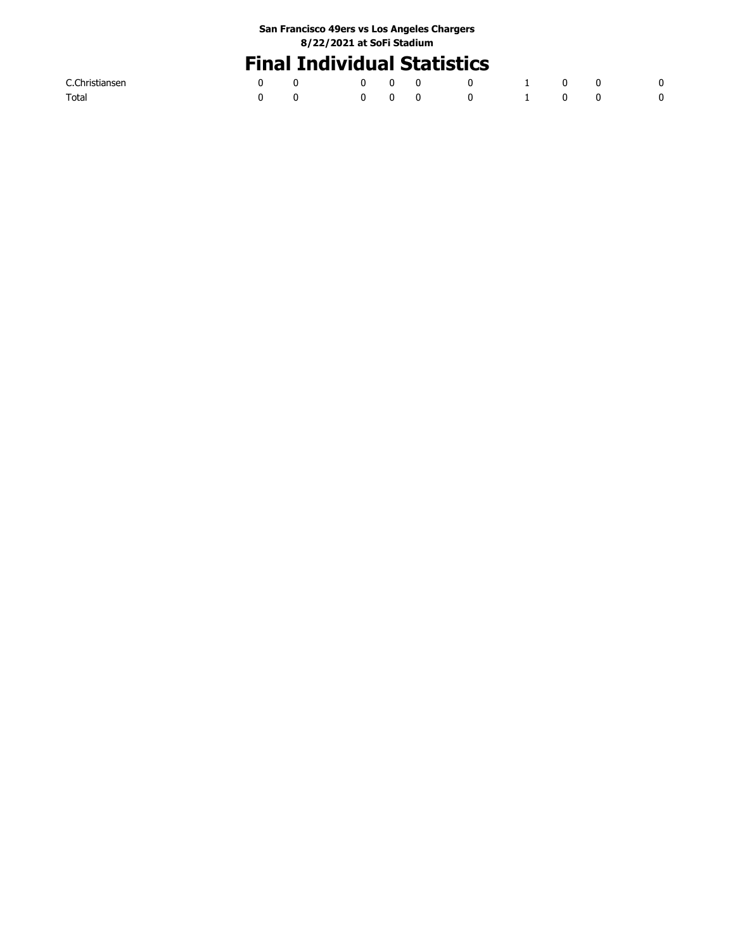# **Final Individual Statistics**

| C.Christiansen |  |  |  |  |  |
|----------------|--|--|--|--|--|
| Total          |  |  |  |  |  |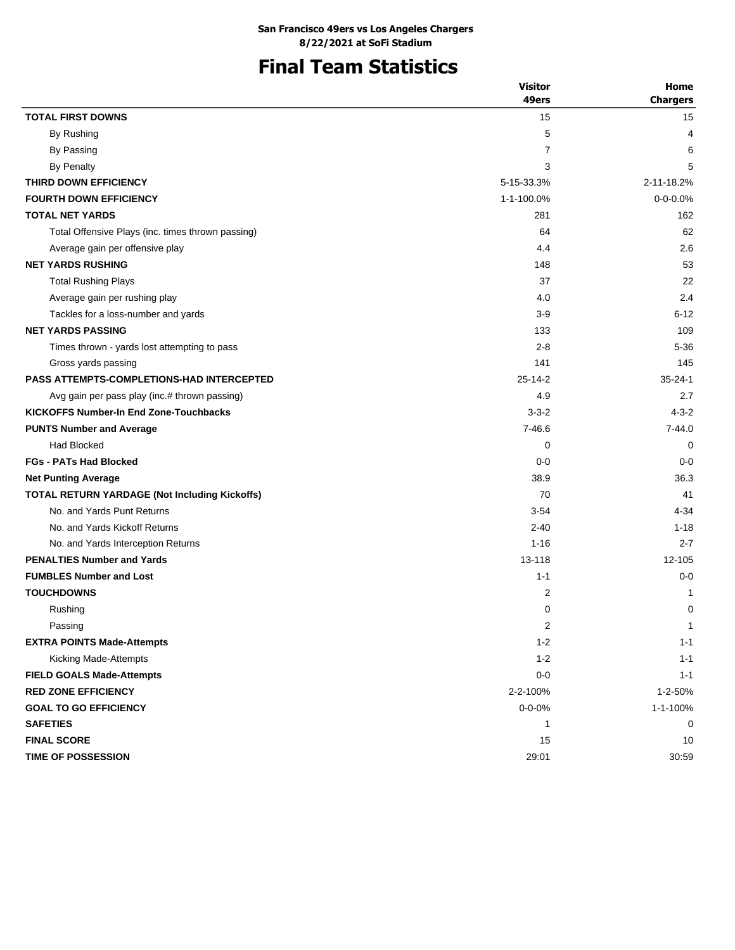# **Final Team Statistics**

|                                                      | <b>Visitor</b> | Home            |
|------------------------------------------------------|----------------|-----------------|
|                                                      | 49ers          | <b>Chargers</b> |
| <b>TOTAL FIRST DOWNS</b>                             | 15             | 15              |
| By Rushing                                           | 5              | 4               |
| By Passing                                           | 7              | 6               |
| <b>By Penalty</b>                                    | 3              | 5               |
| THIRD DOWN EFFICIENCY                                | 5-15-33.3%     | 2-11-18.2%      |
| <b>FOURTH DOWN EFFICIENCY</b>                        | 1-1-100.0%     | $0 - 0 - 0.0%$  |
| <b>TOTAL NET YARDS</b>                               | 281            | 162             |
| Total Offensive Plays (inc. times thrown passing)    | 64             | 62              |
| Average gain per offensive play                      | 4.4            | 2.6             |
| <b>NET YARDS RUSHING</b>                             | 148            | 53              |
| <b>Total Rushing Plays</b>                           | 37             | 22              |
| Average gain per rushing play                        | 4.0            | 2.4             |
| Tackles for a loss-number and yards                  | 3-9            | $6 - 12$        |
| <b>NET YARDS PASSING</b>                             | 133            | 109             |
| Times thrown - yards lost attempting to pass         | $2 - 8$        | $5 - 36$        |
| Gross yards passing                                  | 141            | 145             |
| <b>PASS ATTEMPTS-COMPLETIONS-HAD INTERCEPTED</b>     | $25 - 14 - 2$  | $35 - 24 - 1$   |
| Avg gain per pass play (inc.# thrown passing)        | 4.9            | 2.7             |
| <b>KICKOFFS Number-In End Zone-Touchbacks</b>        | $3 - 3 - 2$    | $4 - 3 - 2$     |
| <b>PUNTS Number and Average</b>                      | $7 - 46.6$     | $7 - 44.0$      |
| <b>Had Blocked</b>                                   | 0              | $\mathbf 0$     |
| <b>FGs - PATs Had Blocked</b>                        | $0 - 0$        | $0 - 0$         |
| <b>Net Punting Average</b>                           | 38.9           | 36.3            |
| <b>TOTAL RETURN YARDAGE (Not Including Kickoffs)</b> | 70             | 41              |
| No. and Yards Punt Returns                           | $3 - 54$       | 4-34            |
| No. and Yards Kickoff Returns                        | $2 - 40$       | $1 - 18$        |
| No. and Yards Interception Returns                   | $1 - 16$       | $2 - 7$         |
| <b>PENALTIES Number and Yards</b>                    | 13-118         | 12-105          |
| <b>FUMBLES Number and Lost</b>                       | $1 - 1$        | $0 - 0$         |
| <b>TOUCHDOWNS</b>                                    | $\overline{c}$ | 1               |
| Rushing                                              | 0              | 0               |
| Passing                                              | 2              | $\mathbf 1$     |
| <b>EXTRA POINTS Made-Attempts</b>                    | $1 - 2$        | $1 - 1$         |
| Kicking Made-Attempts                                | $1 - 2$        | $1 - 1$         |
| <b>FIELD GOALS Made-Attempts</b>                     | $0-0$          | $1 - 1$         |
| <b>RED ZONE EFFICIENCY</b>                           | 2-2-100%       | 1-2-50%         |
| <b>GOAL TO GO EFFICIENCY</b>                         | $0 - 0 - 0\%$  | 1-1-100%        |
| <b>SAFETIES</b>                                      | 1              | 0               |
| <b>FINAL SCORE</b>                                   | 15             | 10              |
| TIME OF POSSESSION                                   | 29:01          | 30:59           |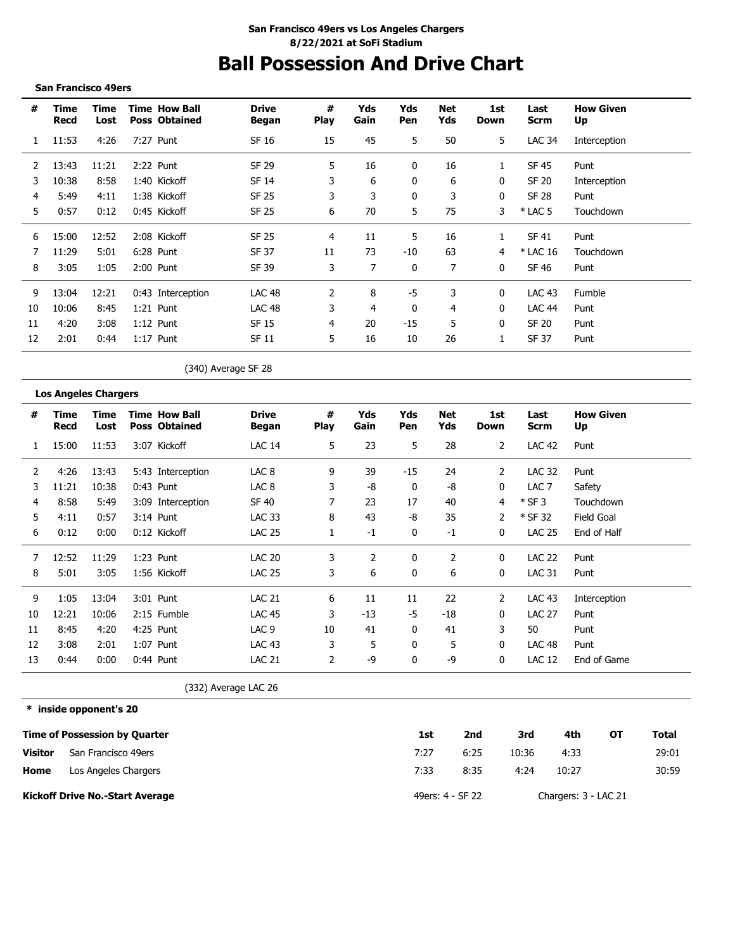# **Ball Possession And Drive Chart**

### **San Francisco 49ers**

| #  | Time<br>Recd | Time<br>Lost | <b>Time How Ball</b><br><b>Poss Obtained</b> | <b>Drive</b><br>Began | #<br><b>Play</b> | Yds<br>Gain | Yds<br><b>Pen</b> | Net<br>Yds | 1st<br>Down | Last<br><b>Scrm</b> | <b>How Given</b><br>Up |
|----|--------------|--------------|----------------------------------------------|-----------------------|------------------|-------------|-------------------|------------|-------------|---------------------|------------------------|
|    | 11:53        | 4:26         | 7:27 Punt                                    | SF 16                 | 15               | 45          | 5                 | 50         | 5           | <b>LAC 34</b>       | Interception           |
|    | 13:43        | 11:21        | 2:22 Punt                                    | SF 29                 | 5                | 16          | 0                 | 16         |             | SF 45               | Punt                   |
| 3  | 10:38        | 8:58         | 1:40 Kickoff                                 | SF 14                 | 3                | 6           | 0                 | 6          | 0           | SF 20               | Interception           |
| 4  | 5:49         | 4:11         | 1:38 Kickoff                                 | SF 25                 | 3                | 3           | 0                 | 3          | 0           | <b>SF 28</b>        | Punt                   |
| 5. | 0:57         | 0:12         | 0:45 Kickoff                                 | SF 25                 | 6                | 70          | 5                 | 75         | 3           | $*$ LAC 5           | Touchdown              |
| 6  | 15:00        | 12:52        | 2:08 Kickoff                                 | SF 25                 | 4                | 11          | 5                 | 16         |             | SF 41               | Punt                   |
|    | 11:29        | 5:01         | 6:28 Punt                                    | SF 37                 | 11               | 73          | $-10$             | 63         | 4           | * LAC 16            | Touchdown              |
| 8  | 3:05         | 1:05         | 2:00 Punt                                    | SF 39                 | 3                |             | 0                 | 7          | 0           | SF 46               | Punt                   |
| 9  | 13:04        | 12:21        | 0:43 Interception                            | <b>LAC 48</b>         | $\mathcal{P}$    | 8           | -5                | 3          | $\Omega$    | <b>LAC 43</b>       | Fumble                 |
| 10 | 10:06        | 8:45         | 1:21 Punt                                    | <b>LAC 48</b>         | 3                | 4           | 0                 | 4          | 0           | LAC 44              | Punt                   |
| 11 | 4:20         | 3:08         | $1:12$ Punt                                  | SF 15                 | 4                | 20          | $-15$             | 5          | 0           | SF 20               | Punt                   |
| 12 | 2:01         | 0:44         | $1:17$ Punt                                  | SF 11                 | 5                | 16          | 10                | 26         |             | SF 37               | Punt                   |

(340) Average SF 28

## **Los Angeles Chargers**

| #  | Time<br>Recd | Time<br>Lost | <b>Time How Ball</b><br><b>Poss Obtained</b> | <b>Drive</b><br><b>Began</b> | #<br><b>Play</b> | Yds<br>Gain    | Yds<br>Pen   | Net<br>Yds | 1st<br>Down    | Last<br><b>Scrm</b> | <b>How Given</b><br>Up |
|----|--------------|--------------|----------------------------------------------|------------------------------|------------------|----------------|--------------|------------|----------------|---------------------|------------------------|
|    | 15:00        | 11:53        | 3:07 Kickoff                                 | <b>LAC 14</b>                | 5                | 23             | 5            | 28         | $\overline{2}$ | <b>LAC 42</b>       | Punt                   |
| 2  | 4:26         | 13:43        | 5:43 Interception                            | LAC <sub>8</sub>             | 9                | 39             | $-15$        | 24         | 2              | <b>LAC 32</b>       | Punt                   |
| 3  | 11:21        | 10:38        | $0:43$ Punt                                  | LAC <sub>8</sub>             | 3                | -8             | 0            | -8         | 0              | LAC <sub>7</sub>    | Safety                 |
| 4  | 8:58         | 5:49         | 3:09 Interception                            | SF 40                        |                  | 23             | 17           | 40         | 4              | $*$ SF 3            | Touchdown              |
| 5. | 4:11         | 0:57         | $3:14$ Punt                                  | <b>LAC 33</b>                | 8                | 43             | -8           | 35         | 2              | * SF 32             | Field Goal             |
| 6  | 0:12         | 0:00         | 0:12 Kickoff                                 | <b>LAC 25</b>                |                  | -1             | 0            | $-1$       | 0              | <b>LAC 25</b>       | End of Half            |
|    | 12:52        | 11:29        | 1:23 Punt                                    | <b>LAC 20</b>                | 3                | $\overline{2}$ | 0            | 2          | 0              | <b>LAC 22</b>       | Punt                   |
| 8  | 5:01         | 3:05         | 1:56 Kickoff                                 | <b>LAC 25</b>                | 3                | 6              | 0            | 6          | $\Omega$       | <b>LAC 31</b>       | Punt                   |
| 9  | 1:05         | 13:04        | 3:01 Punt                                    | <b>LAC 21</b>                | 6                | 11             | 11           | 22         | 2              | LAC 43              | Interception           |
| 10 | 12:21        | 10:06        | 2:15 Fumble                                  | <b>LAC 45</b>                | 3                | -13            | -5           | -18        | 0              | <b>LAC 27</b>       | Punt                   |
| 11 | 8:45         | 4:20         | 4:25 Punt                                    | LAC <sub>9</sub>             | 10               | 41             | 0            | 41         | 3              | 50                  | Punt                   |
| 12 | 3:08         | 2:01         | 1:07 Punt                                    | <b>LAC 43</b>                | 3                | 5              | $\mathbf{0}$ | 5          | $\Omega$       | LAC <sub>48</sub>   | Punt                   |
| 13 | 0:44         | 0:00         | $0:44$ Punt                                  | <b>LAC 21</b>                |                  | -9             | $\mathbf{0}$ | -9         | 0              | <b>LAC 12</b>       | End of Game            |

(332) Average LAC 26

**\* inside opponent's 20**

|                | <b>Time of Possession by Quarter</b>   | 1st              | 2nd  | 3rd   | 4th                  | OТ | Total |
|----------------|----------------------------------------|------------------|------|-------|----------------------|----|-------|
| <b>Visitor</b> | San Francisco 49ers                    | 7:27             | 6:25 | 10:36 | 4:33                 |    | 29:01 |
| Home           | Los Angeles Chargers                   | 7:33             | 8:35 | 4:24  | 10:27                |    | 30:59 |
|                | <b>Kickoff Drive No.-Start Average</b> | 49ers: 4 - SF 22 |      |       | Chargers: 3 - LAC 21 |    |       |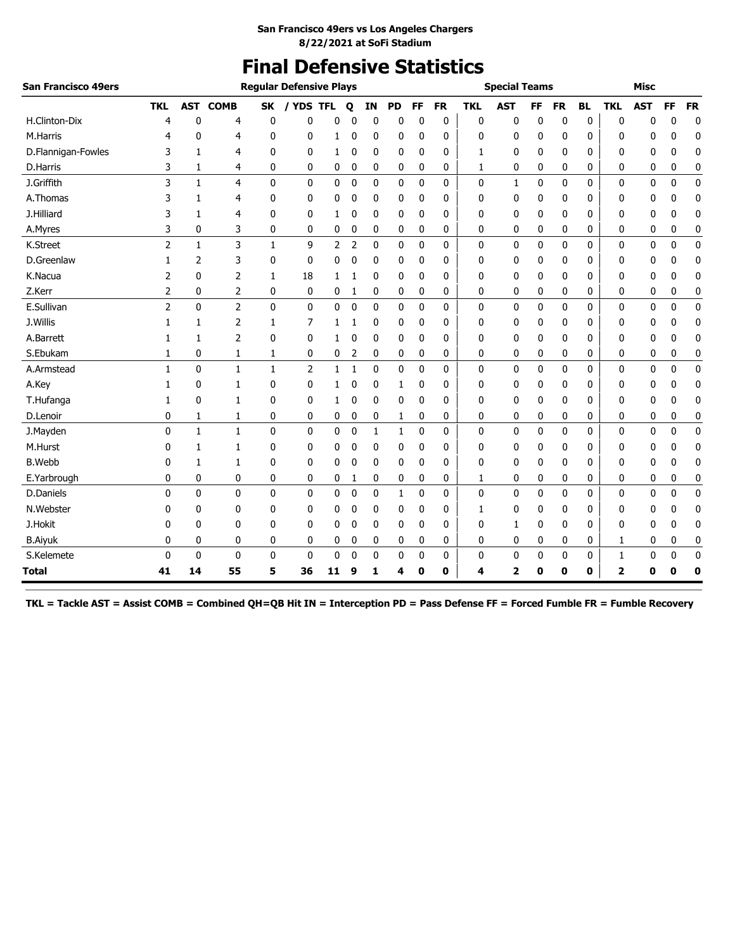# **Final Defensive Statistics**

| San Francisco 49ers |                |              |                |              | <b>Regular Defensive Plays</b> |              |                |             |              |              |           |            | <b>Special Teams</b> |           |           |           |              | <b>Misc</b> |             |             |
|---------------------|----------------|--------------|----------------|--------------|--------------------------------|--------------|----------------|-------------|--------------|--------------|-----------|------------|----------------------|-----------|-----------|-----------|--------------|-------------|-------------|-------------|
|                     | <b>TKL</b>     | <b>AST</b>   | <b>COMB</b>    | SK           | / YDS TFL                      |              | Q              | ΙN          | PD           | <b>FF</b>    | <b>FR</b> | <b>TKL</b> | <b>AST</b>           | <b>FF</b> | <b>FR</b> | <b>BL</b> | <b>TKL</b>   | <b>AST</b>  | <b>FF</b>   | <b>FR</b>   |
| H.Clinton-Dix       | 4              | 0            | 4              | 0            | 0                              | 0            | 0              | 0           | 0            | 0            | 0         | 0          | 0                    | 0         | 0         | 0         | 0            | 0           | 0           | 0           |
| M.Harris            | 4              | 0            | 4              | 0            | 0                              | 1            | 0              | 0           | 0            | 0            | 0         | 0          | 0                    | 0         | 0         | 0         | 0            | 0           | 0           | 0           |
| D.Flannigan-Fowles  | 3              | 1            | 4              | 0            | 0                              | 1            | 0              | 0           | 0            | 0            | 0         | 1          | 0                    | 0         | 0         | 0         | 0            | 0           | 0           | 0           |
| D.Harris            | 3              | 1            | 4              | 0            | 0                              | 0            | 0              | 0           | 0            | 0            | 0         | 1          | 0                    | 0         | 0         | 0         | 0            | 0           | 0           | 0           |
| J.Griffith          | 3              | $\mathbf{1}$ | 4              | 0            | 0                              | $\mathbf{0}$ | $\mathbf 0$    | $\mathbf 0$ | $\mathbf{0}$ | 0            | $\Omega$  | 0          | $\mathbf{1}$         | 0         | 0         | 0         | $\mathbf{0}$ | 0           | 0           | 0           |
| A.Thomas            | 3              | 1            | 4              | 0            | 0                              | 0            | 0              | 0           | 0            | 0            | 0         | 0          | 0                    | 0         | 0         | 0         | 0            | 0           | 0           | 0           |
| J.Hilliard          | 3              | 1            | 4              | 0            | 0                              | 1            | 0              | $\mathbf 0$ | 0            | 0            | 0         | 0          | 0                    | 0         | 0         | 0         | 0            | 0           | 0           | $\mathbf 0$ |
| A.Myres             | 3              | 0            | 3              | 0            | 0                              | 0            | 0              | 0           | 0            | 0            | 0         | 0          | 0                    | 0         | 0         | 0         | 0            | 0           | 0           | 0           |
| K.Street            | $\overline{2}$ | $\mathbf{1}$ | 3              | $\mathbf{1}$ | 9                              | 2            | $\overline{2}$ | $\mathbf 0$ | $\mathbf{0}$ | $\mathbf{0}$ | 0         | 0          | 0                    | 0         | 0         | 0         | 0            | 0           | $\mathbf 0$ | $\mathbf 0$ |
| D.Greenlaw          | 1              | 2            | 3              | 0            | 0                              | 0            | 0              | 0           | 0            | 0            | 0         | 0          | 0                    | 0         | 0         | 0         | 0            | 0           | 0           | 0           |
| K.Nacua             | 2              | 0            | 2              | 1            | 18                             | 1            | 1              | 0           | 0            | 0            | 0         | 0          | 0                    | 0         | 0         | 0         | 0            | 0           | 0           | 0           |
| Z.Kerr              | 2              | 0            | 2              | 0            | 0                              | 0            | 1              | 0           | 0            | 0            | 0         | 0          | 0                    | 0         | 0         | 0         | 0            | 0           | 0           | 0           |
| E.Sullivan          | 2              | 0            | $\overline{2}$ | 0            | $\pmb{0}$                      | 0            | 0              | $\mathbf 0$ | $\pmb{0}$    | 0            | 0         | 0          | 0                    | 0         | 0         | 0         | 0            | 0           | 0           | $\pmb{0}$   |
| J.Willis            | 1              | 1            | 2              | 1            | 7                              | 1            | 1              | $\mathbf 0$ | 0            | 0            | 0         | 0          | 0                    | 0         | 0         | 0         | 0            | 0           | 0           | 0           |
| A.Barrett           |                | 1            | 2              | 0            | 0                              | 1            | 0              | 0           | 0            | 0            | 0         | 0          | 0                    | 0         | 0         | 0         | 0            | 0           | 0           | 0           |
| S.Ebukam            | 1              | 0            | 1              | 1            | 0                              | 0            | 2              | 0           | 0            | 0            | 0         | 0          | 0                    | 0         | 0         | 0         | 0            | 0           | 0           | 0           |
| A.Armstead          | 1              | $\mathbf{0}$ | $\mathbf{1}$   | $\mathbf{1}$ | $\overline{2}$                 | 1            | 1              | $\mathbf 0$ | 0            | $\mathbf{0}$ | 0         | 0          | 0                    | 0         | 0         | 0         | $\mathbf{0}$ | 0           | 0           | $\pmb{0}$   |
| A.Key               |                | 0            | 1              | 0            | 0                              | 1            | 0              | 0           | 1            | 0            | 0         | 0          | 0                    | 0         | 0         | 0         | 0            | 0           | 0           | 0           |
| T.Hufanga           | 1              | 0            | 1              | 0            | 0                              | 1            | 0              | 0           | 0            | 0            | 0         | 0          | 0                    | 0         | 0         | 0         | 0            | 0           | 0           | 0           |
| D.Lenoir            | 0              | 1            | 1              | 0            | 0                              | 0            | 0              | 0           | 1            | 0            | 0         | 0          | 0                    | 0         | 0         | 0         | 0            | 0           | 0           | 0           |
| J.Mayden            | 0              | $\mathbf{1}$ | 1              | 0            | 0                              | 0            | 0              | 1           | 1            | 0            | 0         | 0          | 0                    | 0         | 0         | 0         | 0            | 0           | 0           | 0           |
| M.Hurst             | 0              | 1            | 1              | 0            | 0                              | 0            | 0              | 0           | 0            | 0            | 0         | 0          | 0                    | 0         | 0         | 0         | 0            | 0           | 0           | 0           |
| <b>B.Webb</b>       | 0              | 1            | 1              | 0            | 0                              | 0            | 0              | 0           | 0            | 0            | 0         | 0          | 0                    | 0         | 0         | 0         | 0            | 0           | 0           | 0           |
| E.Yarbrough         | 0              | 0            | 0              | 0            | 0                              | 0            | 1              | $\mathbf 0$ | 0            | 0            | 0         | 1          | 0                    | 0         | 0         | 0         | 0            | 0           | 0           | 0           |
| <b>D.Daniels</b>    | $\Omega$       | $\mathbf{0}$ | $\mathbf{0}$   | 0            | $\mathbf 0$                    | 0            | 0              | $\mathbf 0$ | 1            | 0            | 0         | 0          | 0                    | 0         | 0         | 0         | $\mathbf{0}$ | 0           | 0           | $\mathbf 0$ |
| N.Webster           | 0              | $\mathbf{0}$ | 0              | 0            | 0                              | 0            | 0              | 0           | 0            | 0            | 0         | 1          | 0                    | 0         | 0         | 0         | 0            | 0           | 0           | 0           |
| J.Hokit             | 0              | 0            | 0              | 0            | 0                              | 0            | 0              | 0           | 0            | 0            | 0         | 0          | 1                    | 0         | 0         | 0         | 0            | 0           | 0           | 0           |
| <b>B.Aiyuk</b>      | 0              | 0            | 0              | 0            | 0                              | 0            | 0              | 0           | 0            | 0            | 0         | 0          | 0                    | 0         | 0         | 0         | 1            | 0           | 0           | 0           |
| S.Kelemete          | $\mathbf{0}$   | 0            | 0              | 0            | 0                              | 0            | 0              | 0           | 0            | 0            | 0         | 0          | 0                    | 0         | 0         | 0         | 1            | 0           | 0           | 0           |
| Total               | 41             | 14           | 55             | 5            | 36                             | 11           | 9              | 1           | 4            | 0            | 0         | 4          | $\mathbf{z}$         | 0         | 0         | 0         | 2            | 0           | 0           | 0           |

**TKL = Tackle AST = Assist COMB = Combined QH=QB Hit IN = Interception PD = Pass Defense FF = Forced Fumble FR = Fumble Recovery**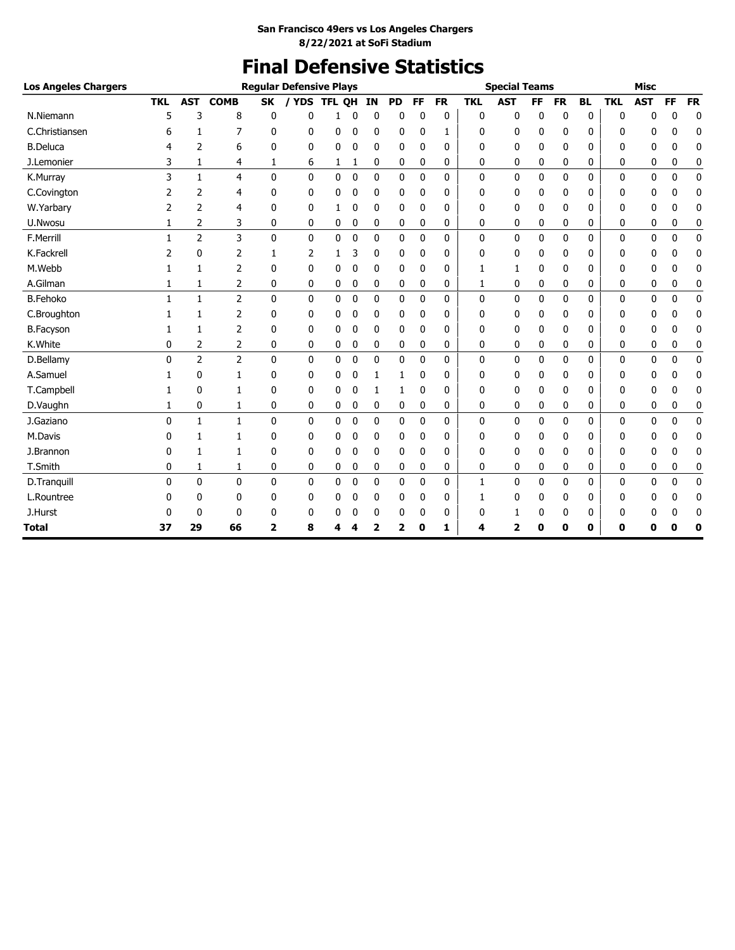# **Final Defensive Statistics**

| <b>Los Angeles Chargers</b> |              |                |                |                | <b>Regular Defensive Plays</b> |               |             |    |           |              |              |              | <b>Special Teams</b> |           |              |           |              | <b>Misc</b>  |             |           |
|-----------------------------|--------------|----------------|----------------|----------------|--------------------------------|---------------|-------------|----|-----------|--------------|--------------|--------------|----------------------|-----------|--------------|-----------|--------------|--------------|-------------|-----------|
|                             | <b>TKL</b>   | <b>AST</b>     | <b>COMB</b>    | <b>SK</b>      | / YDS                          | <b>TFL OH</b> |             | IN | <b>PD</b> | <b>FF</b>    | <b>FR</b>    | <b>TKL</b>   | <b>AST</b>           | <b>FF</b> | <b>FR</b>    | <b>BL</b> | <b>TKL</b>   | <b>AST</b>   | <b>FF</b>   | <b>FR</b> |
| N.Niemann                   | 5            | 3              | 8              | 0              | 0                              | 1             | $\mathbf 0$ | 0  | 0         | 0            | 0            | $\mathbf{0}$ | 0                    | 0         | $\mathbf 0$  | 0         | $\mathbf{0}$ | 0            | 0           | 0         |
| C.Christiansen              | 6            | 1              | $\overline{7}$ | 0              | 0                              | 0             | 0           | 0  | 0         | 0            | 1            | 0            | 0                    | 0         | $\mathbf{0}$ | 0         | 0            | 0            | 0           | 0         |
| <b>B.Deluca</b>             | 4            | 2              | 6              | 0              | 0                              | 0             | 0           | 0  | 0         | 0            | $\Omega$     | 0            | 0                    | 0         | $\mathbf{0}$ | 0         | 0            | 0            | 0           | 0         |
| J.Lemonier                  | 3            | 1              | 4              | 1              | 6                              | 1             | 1           | 0  | 0         | 0            | 0            | 0            | 0                    | 0         | 0            | 0         | 0            | 0            | 0           | 0         |
| K.Murray                    | 3            | $\mathbf{1}$   | $\overline{4}$ | $\mathbf{0}$   | 0                              | 0             | $\mathbf 0$ | 0  | 0         | $\mathbf{0}$ | $\Omega$     | $\mathbf{0}$ | 0                    | 0         | $\mathbf{0}$ | 0         | 0            | 0            | 0           | $\pmb{0}$ |
| C.Covington                 | 2            | $\overline{2}$ | $\overline{4}$ | 0              | 0                              | 0             | $\mathbf 0$ | 0  | 0         | 0            | 0            | 0            | 0                    | 0         | 0            | 0         | 0            | 0            | 0           | 0         |
| W.Yarbary                   | 2            | 2              | 4              | 0              | 0                              | 1             | 0           | 0  | 0         | 0            | $\Omega$     | 0            | 0                    | 0         | 0            | 0         | 0            | 0            | 0           | 0         |
| U.Nwosu                     | 1            | 2              | 3              | 0              | 0                              | 0             | 0           | 0  | 0         | 0            | 0            | 0            | 0                    | 0         | 0            | 0         | 0            | 0            | 0           | 0         |
| F.Merrill                   | $\mathbf{1}$ | $\overline{2}$ | 3              | 0              | 0                              | 0             | $\mathbf 0$ | 0  | 0         | 0            | $\Omega$     | $\mathbf{0}$ | 0                    | 0         | 0            | 0         | 0            | 0            | 0           | $\pmb{0}$ |
| K.Fackrell                  | 2            | 0              | 2              | 1              | $\overline{2}$                 | 1             | 3           | 0  | 0         | 0            | 0            | $\mathbf{0}$ | 0                    | 0         | 0            | 0         | 0            | 0            | 0           | 0         |
| M.Webb                      | 1            | 1              | 2              | 0              | 0                              | 0             | 0           | 0  | 0         | 0            | 0            | 1            | 1                    | 0         | 0            | 0         | 0            | 0            | 0           | 0         |
| A.Gilman                    | 1            | 1              | 2              | 0              | 0                              | 0             | 0           | 0  | 0         | 0            | 0            | 1            | 0                    | 0         | 0            | 0         | 0            | 0            | 0           | 0         |
| <b>B.Fehoko</b>             | $\mathbf{1}$ | $\mathbf{1}$   | $\overline{2}$ | 0              | 0                              | 0             | $\mathbf 0$ | 0  | 0         | $\mathbf 0$  | 0            | $\mathbf 0$  | 0                    | 0         | 0            | 0         | 0            | 0            | $\mathbf 0$ | 0         |
| C.Broughton                 | 1            | 1              | 2              | 0              | 0                              | 0             | 0           | 0  | 0         | 0            | $\Omega$     | $\Omega$     | 0                    | 0         | 0            | 0         | 0            | 0            | 0           | 0         |
| <b>B.Facyson</b>            | 1            | $\mathbf{1}$   | 2              | 0              | 0                              | 0             | 0           | 0  | 0         | 0            | 0            | 0            | 0                    | 0         | 0            | 0         | 0            | 0            | 0           | 0         |
| K.White                     | 0            | 2              | 2              | 0              | 0                              | 0             | 0           | 0  | 0         | 0            | 0            | 0            | 0                    | 0         | 0            | 0         | 0            | 0            | 0           | 0         |
| D.Bellamy                   | $\mathbf{0}$ | $\overline{2}$ | $\overline{2}$ | 0              | 0                              | $\Omega$      | $\mathbf 0$ | 0  | 0         | $\mathbf{0}$ | $\mathbf{0}$ | $\Omega$     | 0                    | 0         | 0            | $\Omega$  | 0            | $\mathbf{0}$ | 0           | 0         |
| A.Samuel                    | 1            | 0              | $\mathbf{1}$   | 0              | 0                              | 0             | $\mathbf 0$ | 1  | 1         | 0            | $\Omega$     | 0            | 0                    | 0         | 0            | 0         | 0            | 0            | 0           | 0         |
| T.Campbell                  | 1            | $\mathbf{0}$   | 1              | 0              | 0                              | 0             | $\mathbf 0$ | 1  | 1         | 0            | 0            | 0            | 0                    | 0         | 0            | 0         | 0            | 0            | 0           | 0         |
| D.Vaughn                    | 1            | 0              | 1              | 0              | 0                              | 0             | 0           | 0  | 0         | 0            | 0            | 0            | 0                    | 0         | 0            | 0         | 0            | 0            | 0           | 0         |
| J.Gaziano                   | $\mathbf{0}$ | $\mathbf{1}$   | $\mathbf{1}$   | 0              | 0                              | 0             | $\mathbf 0$ | 0  | 0         | 0            | $\Omega$     | $\Omega$     | 0                    | 0         | 0            | $\Omega$  | $\Omega$     | 0            | 0           | $\pmb{0}$ |
| M.Davis                     | 0            | 1              | $\mathbf{1}$   | 0              | 0                              | 0             | 0           | 0  | 0         | 0            | 0            | 0            | 0                    | 0         | 0            | 0         | 0            | 0            | 0           | 0         |
| J.Brannon                   | 0            | 1              | 1              | 0              | 0                              | 0             | 0           | 0  | 0         | 0            | 0            | 0            | 0                    | 0         | 0            | 0         | 0            | 0            | 0           | 0         |
| T.Smith                     | 0            | 1              | 1              | 0              | 0                              | 0             | 0           | 0  | 0         | 0            | 0            | 0            | 0                    | 0         | 0            | 0         | 0            | 0            | 0           | 0         |
| D.Tranquill                 | $\mathbf{0}$ | $\mathbf{0}$   | $\mathbf{0}$   | $\Omega$       | 0                              | 0             | $\mathbf 0$ | 0  | 0         | 0            | $\mathbf{0}$ | $\mathbf{1}$ | 0                    | 0         | $\mathbf{0}$ | 0         | 0            | $\mathbf{0}$ | 0           | $\pmb{0}$ |
| L.Rountree                  | 0            | 0              | $\mathbf{0}$   | 0              | 0                              | 0             | 0           | 0  | 0         | 0            | 0            | 1            | 0                    | 0         | 0            | 0         | 0            | 0            | 0           | 0         |
| J.Hurst                     | 0            | $\mathbf{0}$   | 0              | 0              | 0                              | 0             | $\mathbf 0$ | 0  | 0         | 0            | $\Omega$     | 0            | 1                    | 0         | 0            | 0         | 0            | 0            | 0           | 0         |
| <b>Total</b>                | 37           | 29             | 66             | $\overline{2}$ | 8                              | 4             | 4           | 2  | 2         | 0            | 1            | 4            | $\overline{2}$       | 0         | 0            | 0         | 0            | ŋ            | 0           | 0         |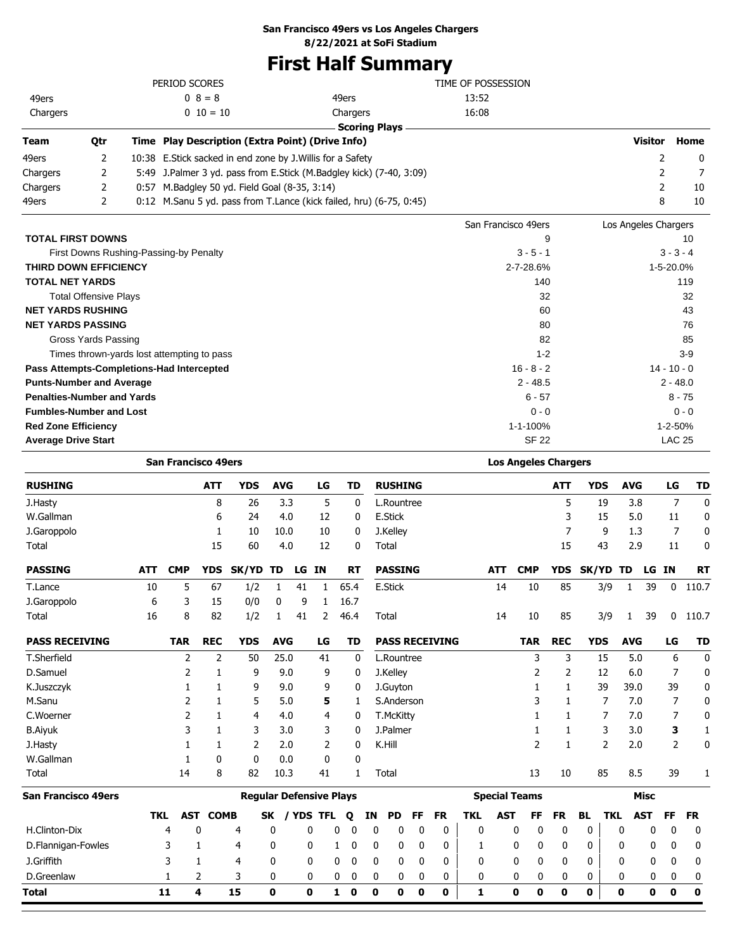## **San Francisco 49ers vs Los Angeles Chargers**

**8/22/2021 at SoFi Stadium**

# **First Half Summary**

|                              |                              |      | PERIOD SCORES                                               |                                                                     | TIME OF POSSESSION  |                      |             |
|------------------------------|------------------------------|------|-------------------------------------------------------------|---------------------------------------------------------------------|---------------------|----------------------|-------------|
| 49ers                        |                              |      | $0 \t8 = 8$                                                 | 49ers                                                               | 13:52               |                      |             |
| Chargers                     |                              |      | $0\ 10=10$                                                  | Chargers                                                            | 16:08               |                      |             |
|                              |                              |      |                                                             | <b>Scoring Plays</b>                                                |                     |                      |             |
| <b>Team</b>                  | Qtr                          |      | Time Play Description (Extra Point) (Drive Info)            |                                                                     |                     | Visitor              | Home        |
| 49ers                        | 2                            |      | 10:38 E. Stick sacked in end zone by J. Willis for a Safety |                                                                     |                     |                      | 0           |
| Chargers                     | 2                            | 5:49 |                                                             | J.Palmer 3 yd. pass from E.Stick (M.Badgley kick) (7-40, 3:09)      |                     |                      |             |
| Chargers                     | 2                            |      | 0:57 M.Badgley 50 yd. Field Goal (8-35, 3:14)               |                                                                     |                     |                      | 10          |
| 49ers                        | 2                            |      |                                                             | 0:12 M.Sanu 5 yd. pass from T.Lance (kick failed, hru) (6-75, 0:45) |                     | 8                    | 10          |
|                              |                              |      |                                                             |                                                                     | San Francisco 49ers | Los Angeles Chargers |             |
| <b>TOTAL FIRST DOWNS</b>     |                              |      |                                                             |                                                                     | 9                   |                      | 10          |
|                              |                              |      | First Downs Rushing-Passing-by Penalty                      |                                                                     | $3 - 5 - 1$         |                      | $3 - 3 - 4$ |
| <b>THIRD DOWN EFFICIENCY</b> |                              |      |                                                             |                                                                     | $2 - 7 - 28.6%$     |                      | 1-5-20.0%   |
| <b>TOTAL NET YARDS</b>       |                              |      |                                                             |                                                                     | 140                 |                      | 119         |
|                              | <b>Total Offensive Plays</b> |      |                                                             |                                                                     | 32                  |                      | 32          |

|              | ےت            |
|--------------|---------------|
| 60           | 43            |
| 80           | 76            |
| 82           | 85            |
| $1 - 2$      | $3-9$         |
| $16 - 8 - 2$ | $14 - 10 - 0$ |
| $2 - 48.5$   | $2 - 48.0$    |
| $6 - 57$     | $8 - 75$      |
| $0 - 0$      | $0 - 0$       |
| 1-1-100%     | 1-2-50%       |
| <b>SF 22</b> | <b>LAC 25</b> |
|              | ےت            |

|                       |            | <b>San Francisco 49ers</b> |                |                                |              |     |           |           |    |             |                  |             |                       |              |            | <b>Los Angeles Chargers</b> |              |             |                |            |             |             |             |
|-----------------------|------------|----------------------------|----------------|--------------------------------|--------------|-----|-----------|-----------|----|-------------|------------------|-------------|-----------------------|--------------|------------|-----------------------------|--------------|-------------|----------------|------------|-------------|-------------|-------------|
| <b>RUSHING</b>        |            |                            | <b>ATT</b>     | <b>YDS</b>                     | <b>AVG</b>   |     | LG        | <b>TD</b> |    |             | <b>RUSHING</b>   |             |                       |              |            |                             | <b>ATT</b>   | <b>YDS</b>  |                | <b>AVG</b> |             | LG          | <b>TD</b>   |
| J.Hasty               |            |                            | 8              | 26                             |              | 3.3 | 5         |           | 0  |             | L.Rountree       |             |                       |              |            |                             | 5            | 19          |                | 3.8        |             | 7           | $\mathbf 0$ |
| W.Gallman             |            |                            | 6              | 24                             | 4.0          |     | 12        |           | 0  |             | <b>E.Stick</b>   |             |                       |              |            |                             | 3            | 15          |                | 5.0        |             | 11          | 0           |
| J.Garoppolo           |            |                            | 1              | 10                             | 10.0         |     | 10        |           | 0  |             | J.Kelley         |             |                       |              |            |                             | 7            |             | 9              | 1.3        |             | 7           | 0           |
| Total                 |            |                            | 15             | 60                             | 4.0          |     | 12        |           | 0  | Total       |                  |             |                       |              |            |                             | 15           | 43          |                | 2.9        |             | 11          | 0           |
| <b>PASSING</b>        | <b>ATT</b> | <b>CMP</b>                 | <b>YDS</b>     | SK/YD                          | TD           | LG  | <b>IN</b> | <b>RT</b> |    |             | <b>PASSING</b>   |             |                       |              | <b>ATT</b> | <b>CMP</b>                  | <b>YDS</b>   | SK/YD       |                | TD         | LG          | <b>IN</b>   | <b>RT</b>   |
| T.Lance               | 10         | 5                          | 67             | 1/2                            | 1            | 41  | 1         | 65.4      |    |             | <b>E.Stick</b>   |             |                       |              | 14         | 10                          | 85           |             | 3/9            | 1          | 39          | 0           | 110.7       |
| J.Garoppolo           | 6          | 3                          | 15             | 0/0                            | 0            | 9   | 1         | 16.7      |    |             |                  |             |                       |              |            |                             |              |             |                |            |             |             |             |
| Total                 | 16         | 8                          | 82             | 1/2                            | 1            | 41  | 2         | 46.4      |    | Total       |                  |             |                       |              | 14         | 10                          | 85           |             | 3/9            | 1          | 39          | 0           | 110.7       |
| <b>PASS RECEIVING</b> |            | <b>TAR</b>                 | <b>REC</b>     | <b>YDS</b>                     | <b>AVG</b>   |     | LG        | TD        |    |             |                  |             | <b>PASS RECEIVING</b> |              |            | <b>TAR</b>                  | <b>REC</b>   | <b>YDS</b>  |                | <b>AVG</b> |             | LG          | <b>TD</b>   |
| T.Sherfield           |            | 2                          | $\overline{2}$ | 50                             | 25.0         |     | 41        |           | 0  |             | L.Rountree       |             |                       |              |            | 3                           | 3            | 15          |                | 5.0        |             | 6           | 0           |
| D.Samuel              |            | 2                          |                | 9                              |              | 9.0 | 9         |           | 0  |             | J.Kelley         |             |                       |              |            | 2                           | 2            | 12          |                | 6.0        |             | 7           | 0           |
| K.Juszczyk            |            |                            |                | 9                              |              | 9.0 | 9         |           | 0  |             | J.Guyton         |             |                       |              |            |                             | 1            | 39          |                | 39.0       |             | 39          | 0           |
| M.Sanu                |            | 2                          | 1              | 5                              |              | 5.0 | 5         |           | 1  |             | S.Anderson       |             |                       |              |            |                             | 1            |             | 7              | 7.0        |             | 7           | 0           |
| C.Woerner             |            | $\overline{2}$             | 1              | 4                              |              | 4.0 | 4         |           | 0  |             | <b>T.McKitty</b> |             |                       |              |            |                             | 1            |             | 7              | 7.0        |             | 7           | 0           |
| <b>B.Aiyuk</b>        |            | 3                          | 1              | 3                              |              | 3.0 | 3         |           | 0  |             | J.Palmer         |             |                       |              |            | 1                           | 1            |             | 3              | 3.0        |             | 3           | 1           |
| J.Hasty               |            |                            | 1              | 2                              |              | 2.0 | 2         |           | 0  | K.Hill      |                  |             |                       |              |            | $\overline{2}$              | $\mathbf{1}$ |             | $\overline{2}$ | 2.0        |             | 2           | 0           |
| W.Gallman             |            | 1                          | 0              | 0                              | 0.0          |     | 0         |           | 0  |             |                  |             |                       |              |            |                             |              |             |                |            |             |             |             |
| Total                 |            | 14                         | 8              | 82                             | 10.3         |     | 41        |           | 1  | Total       |                  |             |                       |              |            | 13                          | 10           | 85          |                | 8.5        |             | 39          | 1           |
| San Francisco 49ers   |            |                            |                | <b>Regular Defensive Plays</b> |              |     |           |           |    |             |                  |             |                       |              |            | <b>Special Teams</b>        |              |             |                |            | <b>Misc</b> |             |             |
|                       | <b>TKL</b> | <b>AST</b>                 | <b>COMB</b>    |                                | SK           |     | / YDS TFL | Q         | ΙN |             | PD               | FF          | <b>FR</b>             | <b>TKL</b>   | <b>AST</b> | FF                          | <b>FR</b>    | <b>BL</b>   | <b>TKL</b>     | <b>AST</b> |             | FF          | <b>FR</b>   |
| H.Clinton-Dix         |            | 4                          | 0              | 4                              | 0            |     | 0         | 0<br>0    |    | 0           | 0                | 0           | $\mathbf{0}$          | $\mathbf{0}$ |            | 0<br>0                      | 0            | 0           |                | 0          | 0           | 0           | 0           |
| D.Flannigan-Fowles    |            | 3                          | 1              | 4                              | 0            |     | 0         | 0<br>1    |    | 0           | 0                | 0           | 0                     | 1            |            | 0<br>0                      | 0            | 0           |                | 0          | 0           | 0           | 0           |
| J.Griffith            |            | 3                          | 1              | 4                              | 0            |     | 0         | 0<br>0    |    | 0           | 0                | 0           | 0                     | 0            |            | 0<br>0                      | 0            | 0           |                | 0          | 0           | 0           | 0           |
| D.Greenlaw            |            | 1                          | 2              | 3                              | 0            |     | 0         | 0<br>0    |    | 0           | 0                | 0           | 0                     | 0            |            | 0<br>0                      | 0            | 0           |                | 0          | 0           | 0           | 0           |
| Total                 |            | 11                         | 4              | 15                             | $\mathbf{0}$ |     | O         | 1<br>0    |    | $\mathbf 0$ | 0                | $\mathbf 0$ | $\mathbf{0}$          | 1            |            | $\mathbf{0}$<br>O           | $\mathbf 0$  | $\mathbf 0$ |                | 0          | O           | $\mathbf 0$ | $\mathbf 0$ |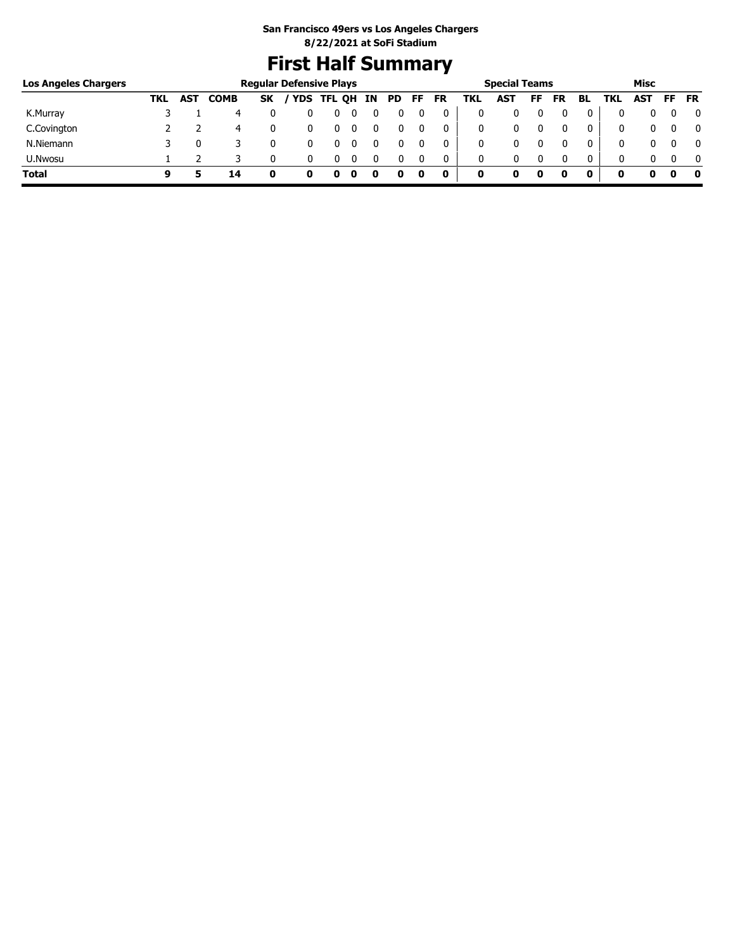# **First Half Summary**

| <b>Los Angeles Chargers</b> |     |     |             | <b>Regular Defensive Plays</b> |              |   |    |    |    |           |     | <b>Special Teams</b> |    |           |              |     | Misc |     |           |
|-----------------------------|-----|-----|-------------|--------------------------------|--------------|---|----|----|----|-----------|-----|----------------------|----|-----------|--------------|-----|------|-----|-----------|
|                             | TKL | AST | <b>COMB</b> | SK                             | / YDS TFL QH |   | IN | PD | FF | <b>FR</b> | TKL | AST                  | FF | <b>FR</b> | BL           | TKL | AST  | FF. | <b>FR</b> |
| K.Murray                    |     |     | 4           |                                |              | U |    |    |    |           |     |                      |    |           |              |     |      |     | 0         |
| C.Covington                 |     |     | 4           |                                |              | 0 |    |    |    |           | 0   |                      |    |           |              | 0   |      |     | 0         |
| N.Niemann                   |     |     |             |                                |              |   |    |    |    |           |     |                      |    |           |              | 0   |      |     | 0         |
| U.Nwosu                     |     |     |             |                                |              |   |    |    |    |           | 0   | 0                    |    |           | $\mathbf{0}$ | 0   |      |     | $\Omega$  |
| <b>Total</b>                | q   |     | 14          |                                |              |   |    |    |    | 0         | 0   |                      | 0  |           |              |     |      |     | - 0       |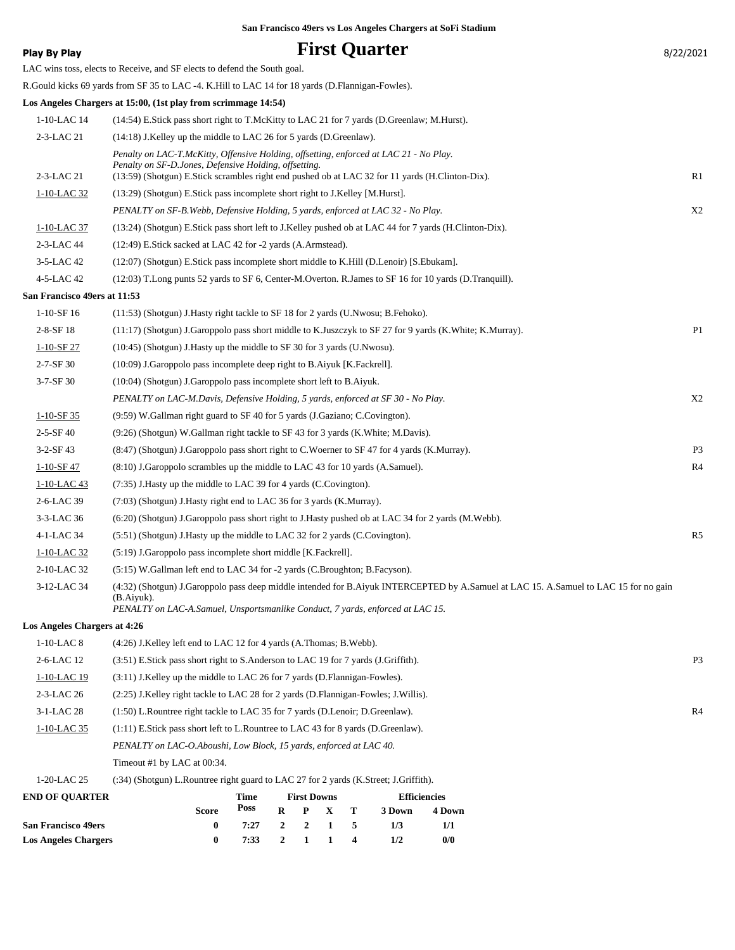|  |  | San Francisco 49ers vs Los Angeles Chargers at SoFi Stadium |  |
|--|--|-------------------------------------------------------------|--|
|  |  |                                                             |  |

| Play By Play                        | <b>First Quarter</b>                                                                                                                                                                                                                    | 8/22/2021      |
|-------------------------------------|-----------------------------------------------------------------------------------------------------------------------------------------------------------------------------------------------------------------------------------------|----------------|
|                                     | LAC wins toss, elects to Receive, and SF elects to defend the South goal.                                                                                                                                                               |                |
|                                     | R.Gould kicks 69 yards from SF 35 to LAC -4. K.Hill to LAC 14 for 18 yards (D.Flannigan-Fowles).                                                                                                                                        |                |
|                                     | Los Angeles Chargers at 15:00, (1st play from scrimmage 14:54)                                                                                                                                                                          |                |
| 1-10-LAC 14                         | (14:54) E.Stick pass short right to T.McKitty to LAC 21 for 7 yards (D.Greenlaw; M.Hurst).                                                                                                                                              |                |
| 2-3-LAC 21                          | (14:18) J.Kelley up the middle to LAC 26 for 5 yards (D.Greenlaw).                                                                                                                                                                      |                |
|                                     | Penalty on LAC-T.McKitty, Offensive Holding, offsetting, enforced at LAC 21 - No Play.<br>Penalty on SF-D.Jones, Defensive Holding, offsetting.                                                                                         |                |
| 2-3-LAC 21                          | (13:59) (Shotgun) E. Stick scrambles right end pushed ob at LAC 32 for 11 yards (H. Clinton-Dix).                                                                                                                                       | R1             |
| 1-10-LAC 32                         | (13:29) (Shotgun) E.Stick pass incomplete short right to J.Kelley [M.Hurst].                                                                                                                                                            |                |
|                                     | PENALTY on SF-B. Webb, Defensive Holding, 5 yards, enforced at LAC 32 - No Play.                                                                                                                                                        | X2             |
| 1-10-LAC 37                         | (13:24) (Shotgun) E.Stick pass short left to J.Kelley pushed ob at LAC 44 for 7 yards (H.Clinton-Dix).                                                                                                                                  |                |
| 2-3-LAC 44                          | (12:49) E.Stick sacked at LAC 42 for -2 yards (A.Armstead).                                                                                                                                                                             |                |
| 3-5-LAC 42                          | (12:07) (Shotgun) E.Stick pass incomplete short middle to K.Hill (D.Lenoir) [S.Ebukam].                                                                                                                                                 |                |
| 4-5-LAC 42                          | (12:03) T.Long punts 52 yards to SF 6, Center-M.Overton. R.James to SF 16 for 10 yards (D.Tranquill).                                                                                                                                   |                |
| San Francisco 49ers at 11:53        |                                                                                                                                                                                                                                         |                |
| $1-10-SF16$                         | (11:53) (Shotgun) J. Hasty right tackle to SF 18 for 2 yards (U. Nwosu; B. Fehoko).                                                                                                                                                     |                |
| $2 - 8 - SF$ 18                     | (11:17) (Shotgun) J.Garoppolo pass short middle to K.Juszczyk to SF 27 for 9 yards (K.White; K.Murray).                                                                                                                                 | P <sub>1</sub> |
| $1-10-SF27$                         | (10:45) (Shotgun) J. Hasty up the middle to SF 30 for 3 yards (U. Nwosu).                                                                                                                                                               |                |
| $2 - 7 - SF$ 30                     | (10:09) J.Garoppolo pass incomplete deep right to B.Aiyuk [K.Fackrell].                                                                                                                                                                 |                |
| $3 - 7 - SF$ 30                     | (10:04) (Shotgun) J.Garoppolo pass incomplete short left to B.Aiyuk.                                                                                                                                                                    |                |
|                                     | PENALTY on LAC-M.Davis, Defensive Holding, 5 yards, enforced at SF 30 - No Play.                                                                                                                                                        | X2             |
| $1-10-SF35$                         | (9.59) W.Gallman right guard to SF 40 for 5 yards (J.Gaziano; C.Covington).                                                                                                                                                             |                |
| $2 - 5 - SF 40$                     | (9:26) (Shotgun) W.Gallman right tackle to SF 43 for 3 yards (K.White; M.Davis).                                                                                                                                                        |                |
| 3-2-SF 43                           | (8:47) (Shotgun) J.Garoppolo pass short right to C.Woerner to SF 47 for 4 yards (K.Murray).                                                                                                                                             | P <sub>3</sub> |
| $1-10-SF$ 47                        | (8:10) J.Garoppolo scrambles up the middle to LAC 43 for 10 yards (A.Samuel).                                                                                                                                                           | R4             |
| 1-10-LAC 43                         | (7:35) J.Hasty up the middle to LAC 39 for 4 yards (C.Covington).                                                                                                                                                                       |                |
| 2-6-LAC 39                          | (7:03) (Shotgun) J. Hasty right end to LAC 36 for 3 yards (K. Murray).                                                                                                                                                                  |                |
| 3-3-LAC 36                          | (6:20) (Shotgun) J.Garoppolo pass short right to J.Hasty pushed ob at LAC 34 for 2 yards (M.Webb).                                                                                                                                      |                |
| 4-1-LAC 34                          | (5:51) (Shotgun) J. Hasty up the middle to LAC 32 for 2 yards (C. Covington).                                                                                                                                                           | R <sub>5</sub> |
| 1-10-LAC 32                         | (5:19) J.Garoppolo pass incomplete short middle [K.Fackrell].                                                                                                                                                                           |                |
| 2-10-LAC 32                         | (5:15) W.Gallman left end to LAC 34 for -2 yards (C.Broughton; B.Facyson).                                                                                                                                                              |                |
| 3-12-LAC 34                         | (4:32) (Shotgun) J.Garoppolo pass deep middle intended for B.Aiyuk INTERCEPTED by A.Samuel at LAC 15. A.Samuel to LAC 15 for no gain<br>$(B.Aiyuk)$ .<br>PENALTY on LAC-A.Samuel, Unsportsmanlike Conduct, 7 yards, enforced at LAC 15. |                |
| <b>Los Angeles Chargers at 4:26</b> |                                                                                                                                                                                                                                         |                |
| $1-10-LAC8$                         | (4:26) J.Kelley left end to LAC 12 for 4 yards (A.Thomas; B.Webb).                                                                                                                                                                      |                |
| 2-6-LAC 12                          | (3:51) E.Stick pass short right to S.Anderson to LAC 19 for 7 yards (J.Griffith).                                                                                                                                                       | P <sub>3</sub> |
| $1-10-LAC$ 19                       | (3:11) J.Kelley up the middle to LAC 26 for 7 yards (D.Flannigan-Fowles).                                                                                                                                                               |                |
| 2-3-LAC 26                          | (2:25) J.Kelley right tackle to LAC 28 for 2 yards (D.Flannigan-Fowles; J.Willis).                                                                                                                                                      |                |
| 3-1-LAC 28                          | (1:50) L.Rountree right tackle to LAC 35 for 7 yards (D.Lenoir; D.Greenlaw).                                                                                                                                                            | R <sub>4</sub> |
| 1-10-LAC 35                         | (1:11) E.Stick pass short left to L.Rountree to LAC 43 for 8 yards (D.Greenlaw).                                                                                                                                                        |                |
|                                     | PENALTY on LAC-O.Aboushi, Low Block, 15 yards, enforced at LAC 40.                                                                                                                                                                      |                |
|                                     | Timeout #1 by LAC at 00:34.                                                                                                                                                                                                             |                |
| 1-20-LAC 25                         | (:34) (Shotgun) L.Rountree right guard to LAC 27 for 2 yards (K.Street; J.Griffith).                                                                                                                                                    |                |
| <b>END OF QUARTER</b>               | <b>Efficiencies</b><br><b>First Downs</b><br>Time                                                                                                                                                                                       |                |
|                                     | Poss<br>R<br>P<br>X<br>Т<br>$3$ Down $\,$<br>4 Down<br>Score                                                                                                                                                                            |                |
|                                     |                                                                                                                                                                                                                                         |                |

**San Francisco 49ers 0 7:27 2 2 1 5 1/3 1/1 Los Angeles Chargers 0 7:33 2 1 1 4 1/2 0/0**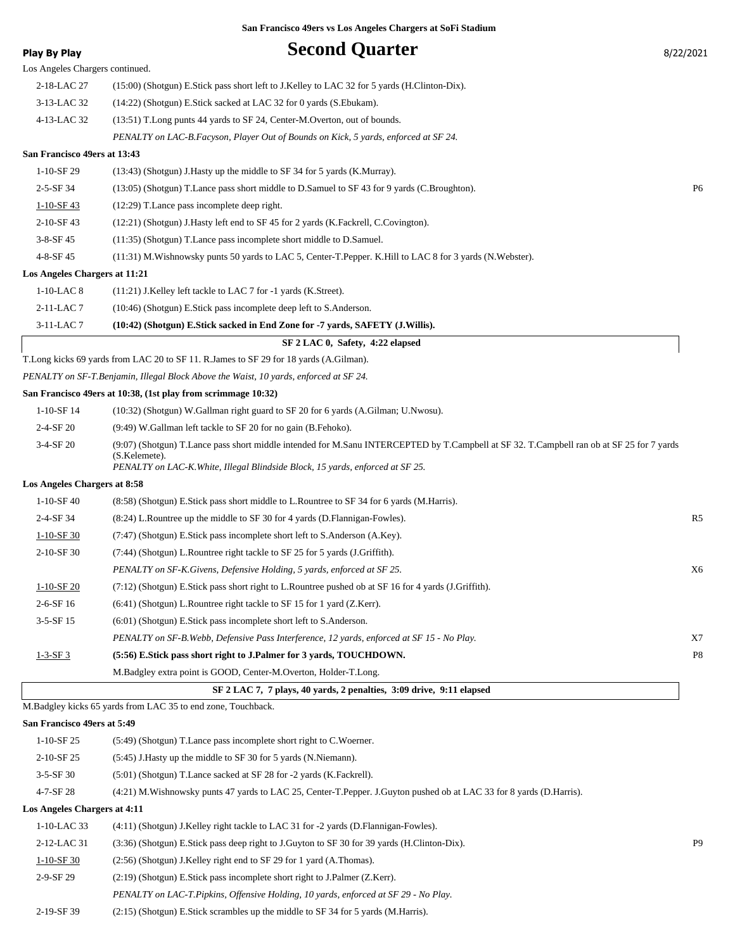| <b>Play By Play</b>             | <b>Second Quarter</b>                                                                                                                                                                                                                        | 8/22/2021      |
|---------------------------------|----------------------------------------------------------------------------------------------------------------------------------------------------------------------------------------------------------------------------------------------|----------------|
| Los Angeles Chargers continued. |                                                                                                                                                                                                                                              |                |
| 2-18-LAC 27                     | (15:00) (Shotgun) E.Stick pass short left to J.Kelley to LAC 32 for 5 yards (H.Clinton-Dix).                                                                                                                                                 |                |
| 3-13-LAC 32                     | (14:22) (Shotgun) E.Stick sacked at LAC 32 for 0 yards (S.Ebukam).                                                                                                                                                                           |                |
| 4-13-LAC 32                     | (13:51) T. Long punts 44 yards to SF 24, Center-M. Overton, out of bounds.                                                                                                                                                                   |                |
|                                 | PENALTY on LAC-B.Facyson, Player Out of Bounds on Kick, 5 yards, enforced at SF 24.                                                                                                                                                          |                |
| San Francisco 49ers at 13:43    |                                                                                                                                                                                                                                              |                |
| 1-10-SF 29                      | (13:43) (Shotgun) J.Hasty up the middle to SF 34 for 5 yards (K.Murray).                                                                                                                                                                     |                |
| 2-5-SF 34                       | (13:05) (Shotgun) T.Lance pass short middle to D.Samuel to SF 43 for 9 yards (C.Broughton).                                                                                                                                                  | P <sub>6</sub> |
| $1-10-SF$ 43                    | (12:29) T.Lance pass incomplete deep right.                                                                                                                                                                                                  |                |
| 2-10-SF 43                      | $(12:21)$ (Shotgun) J. Hasty left end to SF 45 for 2 yards (K. Fackrell, C. Covington).                                                                                                                                                      |                |
| 3-8-SF 45                       | (11:35) (Shotgun) T.Lance pass incomplete short middle to D.Samuel.                                                                                                                                                                          |                |
| 4-8-SF 45                       | (11:31) M. Wishnowsky punts 50 yards to LAC 5, Center-T. Pepper. K. Hill to LAC 8 for 3 yards (N. Webster).                                                                                                                                  |                |
| Los Angeles Chargers at 11:21   |                                                                                                                                                                                                                                              |                |
| $1-10-LAC8$                     | (11:21) J.Kelley left tackle to LAC 7 for -1 yards (K.Street).                                                                                                                                                                               |                |
| 2-11-LAC 7                      | (10:46) (Shotgun) E.Stick pass incomplete deep left to S.Anderson.                                                                                                                                                                           |                |
| 3-11-LAC 7                      | (10:42) (Shotgun) E.Stick sacked in End Zone for -7 yards, SAFETY (J.Willis).                                                                                                                                                                |                |
|                                 | SF 2 LAC 0, Safety, 4:22 elapsed                                                                                                                                                                                                             |                |
|                                 | T.Long kicks 69 yards from LAC 20 to SF 11. R.James to SF 29 for 18 yards (A.Gilman).                                                                                                                                                        |                |
|                                 | PENALTY on SF-T.Benjamin, Illegal Block Above the Waist, 10 yards, enforced at SF 24.                                                                                                                                                        |                |
|                                 | San Francisco 49ers at 10:38, (1st play from scrimmage 10:32)                                                                                                                                                                                |                |
| 1-10-SF 14                      | (10:32) (Shotgun) W.Gallman right guard to SF 20 for 6 yards (A.Gilman; U.Nwosu).                                                                                                                                                            |                |
| 2-4-SF 20                       | (9:49) W.Gallman left tackle to SF 20 for no gain (B.Fehoko).                                                                                                                                                                                |                |
| 3-4-SF 20                       | (9:07) (Shotgun) T.Lance pass short middle intended for M.Sanu INTERCEPTED by T.Campbell at SF 32. T.Campbell ran ob at SF 25 for 7 yards<br>(S.Kelemete).<br>PENALTY on LAC-K. White, Illegal Blindside Block, 15 yards, enforced at SF 25. |                |
| Los Angeles Chargers at 8:58    |                                                                                                                                                                                                                                              |                |
| $1-10-SF40$                     | (8.58) (Shotgun) E.Stick pass short middle to L.Rountree to SF 34 for 6 yards (M.Harris).                                                                                                                                                    |                |
| 2-4-SF 34                       | (8.24) L.Rountree up the middle to SF 30 for 4 yards (D.Flannigan-Fowles).                                                                                                                                                                   | R5             |
| $1-10-SF$ 30                    | (7:47) (Shotgun) E.Stick pass incomplete short left to S.Anderson (A.Key).                                                                                                                                                                   |                |
| 2-10-SF 30                      | (7:44) (Shotgun) L.Rountree right tackle to SF 25 for 5 yards (J.Griffith).                                                                                                                                                                  |                |
|                                 | PENALTY on SF-K.Givens, Defensive Holding, 5 yards, enforced at SF 25.                                                                                                                                                                       | X6             |
| 1-10-SF 20                      | (7:12) (Shotgun) E.Stick pass short right to L.Rountree pushed ob at SF 16 for 4 yards (J.Griffith).                                                                                                                                         |                |
| 2-6-SF 16                       | $(6:41)$ (Shotgun) L.Rountree right tackle to SF 15 for 1 yard (Z.Kerr).                                                                                                                                                                     |                |
| $3-5-SF15$                      | (6:01) (Shotgun) E.Stick pass incomplete short left to S.Anderson.                                                                                                                                                                           |                |
|                                 | PENALTY on SF-B.Webb, Defensive Pass Interference, 12 yards, enforced at SF 15 - No Play.                                                                                                                                                    | X7             |
| $1 - 3 - SF3$                   | (5:56) E.Stick pass short right to J.Palmer for 3 yards, TOUCHDOWN.                                                                                                                                                                          | P8             |
|                                 | M.Badgley extra point is GOOD, Center-M.Overton, Holder-T.Long.                                                                                                                                                                              |                |
|                                 | SF 2 LAC 7, 7 plays, 40 yards, 2 penalties, 3:09 drive, 9:11 elapsed                                                                                                                                                                         |                |
|                                 | M.Badgley kicks 65 yards from LAC 35 to end zone, Touchback.                                                                                                                                                                                 |                |
| San Francisco 49ers at 5:49     |                                                                                                                                                                                                                                              |                |
| $1-10-SF$ 25                    | (5:49) (Shotgun) T.Lance pass incomplete short right to C.Woerner.                                                                                                                                                                           |                |

- 2-10-SF 25 (5:45) J.Hasty up the middle to SF 30 for 5 yards (N.Niemann).
- 3-5-SF 30 (5:01) (Shotgun) T.Lance sacked at SF 28 for -2 yards (K.Fackrell).

4-7-SF 28 (4:21) M.Wishnowsky punts 47 yards to LAC 25, Center-T.Pepper. J.Guyton pushed ob at LAC 33 for 8 yards (D.Harris).

## **Los Angeles Chargers at 4:11**

| 00 THIS CRO CHAIR CHO At 1111 |                                                                                             |                |
|-------------------------------|---------------------------------------------------------------------------------------------|----------------|
| $1-10-LAC$ 33                 | $(4:11)$ (Shotgun) J.Kelley right tackle to LAC 31 for -2 yards (D.Flannigan-Fowles).       |                |
| 2-12-LAC 31                   | (3:36) (Shotgun) E.Stick pass deep right to J.Guyton to SF 30 for 39 yards (H.Clinton-Dix). | P <sub>9</sub> |
| $1-10-SF$ 30                  | (2:56) (Shotgun) J.Kelley right end to SF 29 for 1 yard (A.Thomas).                         |                |
| 2-9-SF 29                     | $(2.19)$ (Shotgun) E.Stick pass incomplete short right to J.Palmer (Z.Kerr).                |                |
|                               | PENALTY on LAC-T.Pipkins, Offensive Holding, 10 yards, enforced at SF 29 - No Play.         |                |
| 2-19-SF 39                    | $(2.15)$ (Shotgun) E. Stick scrambles up the middle to SF 34 for 5 yards (M. Harris).       |                |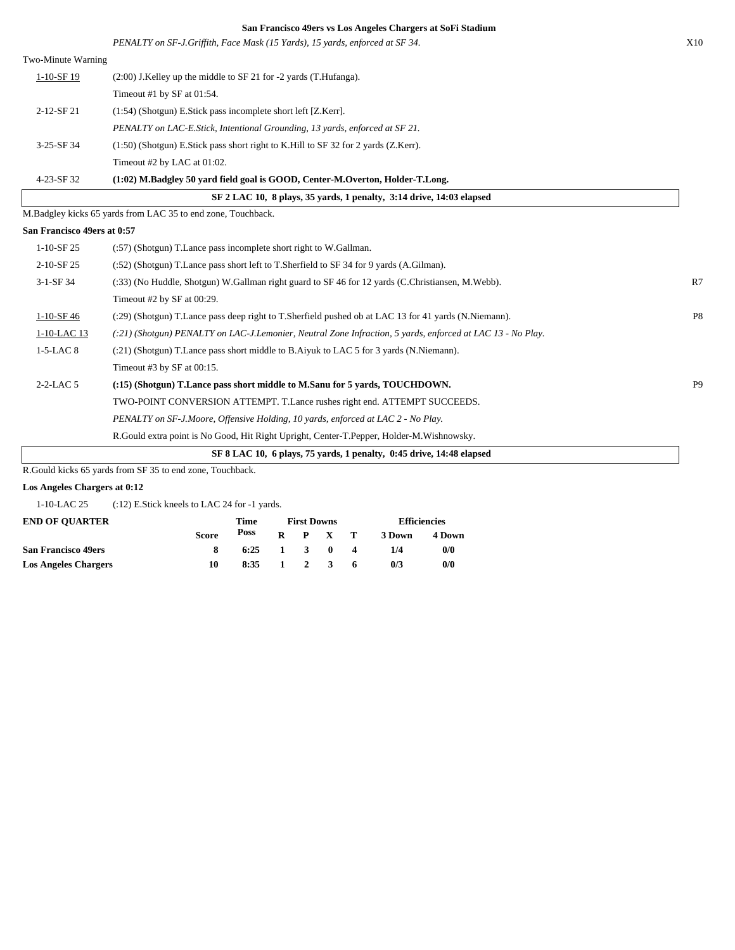|                             | San Francisco 49ers vs Los Angeles Chargers at SoFi Stadium                                                |                |
|-----------------------------|------------------------------------------------------------------------------------------------------------|----------------|
|                             | PENALTY on SF-J.Griffith, Face Mask (15 Yards), 15 yards, enforced at SF 34.                               | X10            |
| Two-Minute Warning          |                                                                                                            |                |
| 1-10-SF 19                  | (2:00) J.Kelley up the middle to SF 21 for -2 yards (T.Hufanga).                                           |                |
|                             | Timeout #1 by SF at $01:54$ .                                                                              |                |
| 2-12-SF 21                  | $(1:54)$ (Shotgun) E.Stick pass incomplete short left [Z.Kerr].                                            |                |
|                             | PENALTY on LAC-E.Stick, Intentional Grounding, 13 yards, enforced at SF 21.                                |                |
| 3-25-SF 34                  | (1:50) (Shotgun) E.Stick pass short right to K.Hill to SF 32 for 2 yards (Z.Kerr).                         |                |
|                             | Timeout #2 by LAC at 01:02.                                                                                |                |
| 4-23-SF 32                  | (1:02) M.Badgley 50 yard field goal is GOOD, Center-M.Overton, Holder-T.Long.                              |                |
|                             | SF 2 LAC 10, 8 plays, 35 vards, 1 penalty, 3:14 drive, 14:03 elapsed                                       |                |
|                             | M.Badgley kicks 65 yards from LAC 35 to end zone, Touchback.                                               |                |
| San Francisco 49ers at 0:57 |                                                                                                            |                |
| $1-10-SF25$                 | (:57) (Shotgun) T.Lance pass incomplete short right to W.Gallman.                                          |                |
| 2-10-SF 25                  | (:52) (Shotgun) T.Lance pass short left to T.Sherfield to SF 34 for 9 yards (A.Gilman).                    |                |
| 3-1-SF 34                   | (:33) (No Huddle, Shotgun) W.Gallman right guard to SF 46 for 12 yards (C.Christiansen, M.Webb).           | R7             |
|                             | Timeout #2 by SF at 00:29.                                                                                 |                |
| $1-10-SF46$                 | (:29) (Shotgun) T.Lance pass deep right to T.Sherfield pushed ob at LAC 13 for 41 yards (N.Niemann).       | P <sub>8</sub> |
| 1-10-LAC 13                 | (:21) (Shotgun) PENALTY on LAC-J.Lemonier, Neutral Zone Infraction, 5 yards, enforced at LAC 13 - No Play. |                |
| $1-5-LAC8$                  | (:21) (Shotgun) T.Lance pass short middle to B.Aiyuk to LAC 5 for 3 yards (N.Niemann).                     |                |
|                             | Timeout #3 by SF at $00:15$ .                                                                              |                |
| $2-2-LAC$ 5                 | (:15) (Shotgun) T.Lance pass short middle to M.Sanu for 5 yards, TOUCHDOWN.                                | P <sub>9</sub> |
|                             | TWO-POINT CONVERSION ATTEMPT. T.Lance rushes right end. ATTEMPT SUCCEEDS.                                  |                |
|                             | PENALTY on SF-J.Moore, Offensive Holding, 10 yards, enforced at LAC 2 - No Play.                           |                |
|                             | R.Gould extra point is No Good, Hit Right Upright, Center-T.Pepper, Holder-M.Wishnowsky.                   |                |
|                             | SF 8 LAC 10, 6 plays, 75 yards, 1 penalty, 0:45 drive, 14:48 elapsed                                       |                |

R.Gould kicks 65 yards from SF 35 to end zone, Touchback.

## **Los Angeles Chargers at 0:12**

1-10-LAC 25 (:12) E.Stick kneels to LAC 24 for -1 yards.

| <b>END OF OUARTER</b>       |              | Time                                   | <b>First Downs</b> |                     |    |        | <b>Efficiencies</b> |
|-----------------------------|--------------|----------------------------------------|--------------------|---------------------|----|--------|---------------------|
|                             | <b>Score</b> | Poss                                   |                    | $R$ $P$ $X$ $T$     |    | 3 Down | 4 Down              |
| <b>San Francisco 49ers</b>  |              | $6:25 \quad 1 \quad 3 \quad 0 \quad 4$ |                    |                     |    | 1/4    | 0/0                 |
| <b>Los Angeles Chargers</b> | 10           | 8:35                                   |                    | $1 \quad 2 \quad 3$ | -6 | 0/3    | 0/0                 |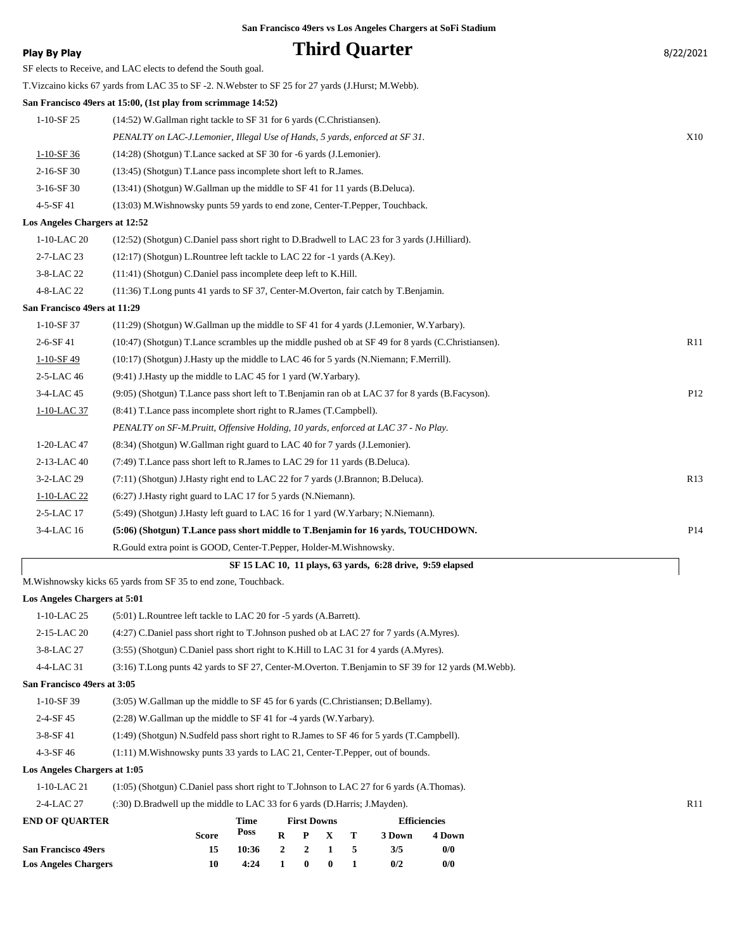| Play By Play                  | <b>Third Quarter</b>                                                                                   | 8/22/2021 |
|-------------------------------|--------------------------------------------------------------------------------------------------------|-----------|
|                               | SF elects to Receive, and LAC elects to defend the South goal.                                         |           |
|                               | T. Vizcaino kicks 67 yards from LAC 35 to SF -2. N. Webster to SF 25 for 27 yards (J. Hurst; M. Webb). |           |
|                               | San Francisco 49ers at 15:00, (1st play from scrimmage 14:52)                                          |           |
| 1-10-SF 25                    | (14:52) W. Gallman right tackle to SF 31 for 6 yards (C. Christiansen).                                |           |
|                               | PENALTY on LAC-J.Lemonier, Illegal Use of Hands, 5 yards, enforced at SF 31.                           | X10       |
| $1-10-SF36$                   | (14:28) (Shotgun) T.Lance sacked at SF 30 for -6 yards (J.Lemonier).                                   |           |
| $2-16-SF30$                   | (13:45) (Shotgun) T. Lance pass incomplete short left to R. James.                                     |           |
| $3-16-SF30$                   | (13:41) (Shotgun) W.Gallman up the middle to SF 41 for 11 yards (B.Deluca).                            |           |
| 4-5-SF 41                     | (13:03) M. Wishnowsky punts 59 yards to end zone, Center-T. Pepper, Touchback.                         |           |
| Los Angeles Chargers at 12:52 |                                                                                                        |           |
| 1-10-LAC 20                   | (12:52) (Shotgun) C.Daniel pass short right to D.Bradwell to LAC 23 for 3 yards (J.Hilliard).          |           |
| 2-7-LAC 23                    | $(12:17)$ (Shotgun) L. Rountree left tackle to LAC 22 for $-1$ yards (A.Key).                          |           |
| 3-8-LAC 22                    | (11:41) (Shotgun) C.Daniel pass incomplete deep left to K.Hill.                                        |           |
| 4-8-LAC 22                    | (11:36) T.Long punts 41 yards to SF 37, Center-M.Overton, fair catch by T.Benjamin.                    |           |
| San Francisco 49ers at 11:29  |                                                                                                        |           |
| 1-10-SF 37                    | (11:29) (Shotgun) W.Gallman up the middle to SF 41 for 4 yards (J.Lemonier, W.Yarbary).                |           |
| $2-6-SF41$                    | (10:47) (Shotgun) T.Lance scrambles up the middle pushed ob at SF 49 for 8 yards (C.Christiansen).     | R11       |
| $1 - 10 - SF$ 49              | (10:17) (Shotgun) J. Hasty up the middle to LAC 46 for 5 yards (N. Niemann; F. Merrill).               |           |
| 2-5-LAC 46                    | (9:41) J. Hasty up the middle to LAC 45 for 1 yard (W. Yarbary).                                       |           |
| 3-4-LAC 45                    | (9:05) (Shotgun) T.Lance pass short left to T.Benjamin ran ob at LAC 37 for 8 yards (B.Facyson).       | P12       |
| 1-10-LAC 37                   | (8:41) T. Lance pass incomplete short right to R. James (T. Campbell).                                 |           |
|                               | PENALTY on SF-M.Pruitt, Offensive Holding, 10 yards, enforced at LAC 37 - No Play.                     |           |
| 1-20-LAC 47                   | (8.34) (Shotgun) W.Gallman right guard to LAC 40 for 7 yards (J.Lemonier).                             |           |
| 2-13-LAC 40                   | (7:49) T. Lance pass short left to R. James to LAC 29 for 11 yards (B. Deluca).                        |           |
| 3-2-LAC 29                    | (7:11) (Shotgun) J.Hasty right end to LAC 22 for 7 yards (J.Brannon; B.Deluca).                        | R13       |
| 1-10-LAC 22                   | (6:27) J. Hasty right guard to LAC 17 for 5 yards (N. Niemann).                                        |           |
| 2-5-LAC 17                    | (5:49) (Shotgun) J. Hasty left guard to LAC 16 for 1 yard (W. Yarbary; N. Niemann).                    |           |
| 3-4-LAC 16                    | (5:06) (Shotgun) T.Lance pass short middle to T.Benjamin for 16 yards, TOUCHDOWN.                      | P14       |
|                               | R.Gould extra point is GOOD, Center-T.Pepper, Holder-M.Wishnowsky.                                     |           |
|                               | SF 15 LAC 10, 11 plays, 63 yards, 6:28 drive, 9:59 elapsed                                             |           |
|                               | M. Wishnowsky kicks 65 yards from SF 35 to end zone, Touchback.                                        |           |
| Los Angeles Chargers at 5:01  |                                                                                                        |           |
| 1-10-LAC 25                   | (5:01) L.Rountree left tackle to LAC 20 for -5 yards (A.Barrett).                                      |           |
| 2-15-LAC 20                   | (4:27) C.Daniel pass short right to T.Johnson pushed ob at LAC 27 for 7 yards (A.Myres).               |           |
| 3-8-LAC 27                    | (3:55) (Shotgun) C.Daniel pass short right to K.Hill to LAC 31 for 4 yards (A.Myres).                  |           |

4-4-LAC 31 (3:16) T.Long punts 42 yards to SF 27, Center-M.Overton. T.Benjamin to SF 39 for 12 yards (M.Webb).

**San Francisco 49ers at 3:05**

- 1-10-SF 39 (3:05) W.Gallman up the middle to SF 45 for 6 yards (C.Christiansen; D.Bellamy).
- 2-4-SF 45 (2:28) W.Gallman up the middle to SF 41 for -4 yards (W.Yarbary).
- 3-8-SF 41 (1:49) (Shotgun) N.Sudfeld pass short right to R.James to SF 46 for 5 yards (T.Campbell).
- 4-3-SF 46 (1:11) M.Wishnowsky punts 33 yards to LAC 21, Center-T.Pepper, out of bounds.

## **Los Angeles Chargers at 1:05**

|  | 1-10-LAC 21 |  |  | (1:05) (Shotgun) C.Daniel pass short right to T.Johnson to LAC 27 for 6 yards (A.Thomas). |
|--|-------------|--|--|-------------------------------------------------------------------------------------------|
|--|-------------|--|--|-------------------------------------------------------------------------------------------|

2-4-LAC 27 (:30) D.Bradwell up the middle to LAC 33 for 6 yards (D.Harris; J.Mayden). R11

| <b>END OF OUARTER</b>       |              | Time            |              | <b>First Downs</b> |              | <b>Efficiencies</b> |        |  |  |
|-----------------------------|--------------|-----------------|--------------|--------------------|--------------|---------------------|--------|--|--|
|                             | <b>Score</b> | Poss            | R.           |                    | P X T        | 3 Down              | 4 Down |  |  |
| <b>San Francisco 49ers</b>  | 15           | $10:36$ 2 2 1 5 |              |                    |              | 3/5                 | 0/0    |  |  |
| <b>Los Angeles Chargers</b> | 10           | 4:24            | $\mathbf{1}$ | $\mathbf{0}$       | $\mathbf{0}$ | 0/2                 | 0/0    |  |  |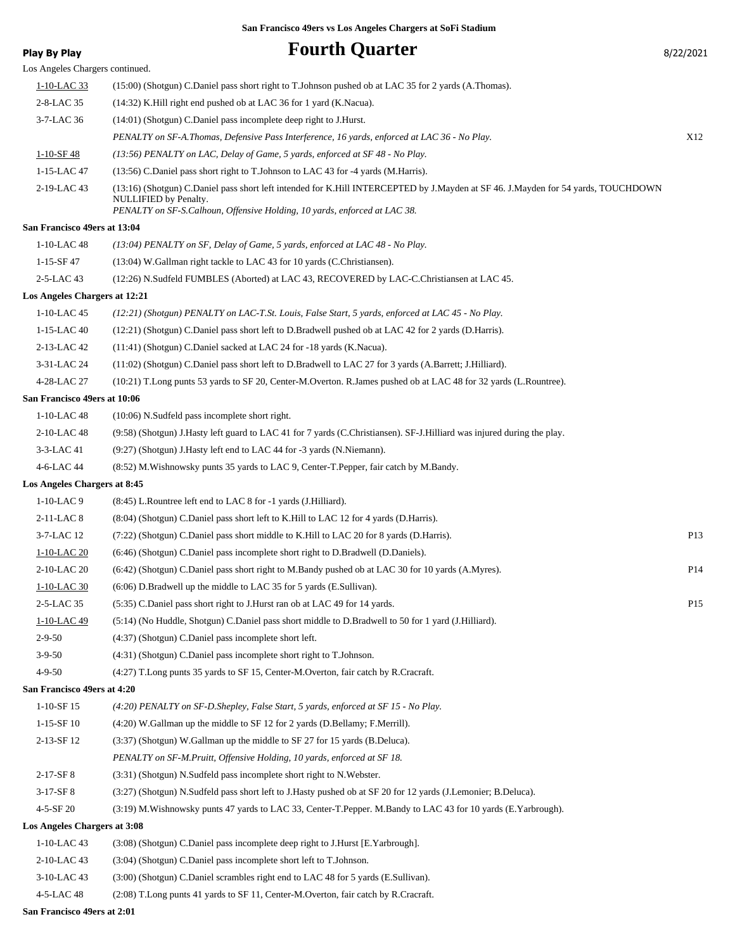# **Play By Play Play Play Play Play By Play Example 2011 11 All 2012 12:31 12:42 Play By Play 8/22/2021**

| Los Angeles Chargers continued. |                                                                                                                                                                                                                                                |                 |
|---------------------------------|------------------------------------------------------------------------------------------------------------------------------------------------------------------------------------------------------------------------------------------------|-----------------|
| 1-10-LAC 33                     | (15:00) (Shotgun) C.Daniel pass short right to T.Johnson pushed ob at LAC 35 for 2 yards (A.Thomas).                                                                                                                                           |                 |
| 2-8-LAC 35                      | (14:32) K.Hill right end pushed ob at LAC 36 for 1 yard (K.Nacua).                                                                                                                                                                             |                 |
| 3-7-LAC 36                      | (14:01) (Shotgun) C.Daniel pass incomplete deep right to J.Hurst.                                                                                                                                                                              |                 |
|                                 | PENALTY on SF-A.Thomas, Defensive Pass Interference, 16 yards, enforced at LAC 36 - No Play.                                                                                                                                                   | X12             |
| $1-10-SF$ 48                    | (13:56) PENALTY on LAC, Delay of Game, 5 yards, enforced at SF 48 - No Play.                                                                                                                                                                   |                 |
| 1-15-LAC 47                     | (13:56) C.Daniel pass short right to T.Johnson to LAC 43 for -4 yards (M.Harris).                                                                                                                                                              |                 |
| 2-19-LAC 43                     | (13:16) (Shotgun) C.Daniel pass short left intended for K.Hill INTERCEPTED by J.Mayden at SF 46. J.Mayden for 54 yards, TOUCHDOWN<br><b>NULLIFIED</b> by Penalty.<br>PENALTY on SF-S.Calhoun, Offensive Holding, 10 yards, enforced at LAC 38. |                 |
| San Francisco 49ers at 13:04    |                                                                                                                                                                                                                                                |                 |
| $1-10$ -LAC 48                  | $(13:04)$ PENALTY on SF, Delay of Game, 5 yards, enforced at LAC 48 - No Play.                                                                                                                                                                 |                 |
| $1 - 15 - SF 47$                | (13:04) W.Gallman right tackle to LAC 43 for 10 yards (C.Christiansen).                                                                                                                                                                        |                 |
| 2-5-LAC 43                      | (12:26) N.Sudfeld FUMBLES (Aborted) at LAC 43, RECOVERED by LAC-C.Christiansen at LAC 45.                                                                                                                                                      |                 |
| Los Angeles Chargers at 12:21   |                                                                                                                                                                                                                                                |                 |
| 1-10-LAC 45                     | (12:21) (Shotgun) PENALTY on LAC-T.St. Louis, False Start, 5 yards, enforced at LAC 45 - No Play.                                                                                                                                              |                 |
| 1-15-LAC 40                     | (12:21) (Shotgun) C.Daniel pass short left to D.Bradwell pushed ob at LAC 42 for 2 yards (D.Harris).                                                                                                                                           |                 |
| 2-13-LAC 42                     | (11:41) (Shotgun) C.Daniel sacked at LAC 24 for -18 yards (K.Nacua).                                                                                                                                                                           |                 |
| 3-31-LAC 24                     | (11:02) (Shotgun) C.Daniel pass short left to D.Bradwell to LAC 27 for 3 yards (A.Barrett; J.Hilliard).                                                                                                                                        |                 |
| 4-28-LAC 27                     | (10:21) T.Long punts 53 yards to SF 20, Center-M.Overton. R.James pushed ob at LAC 48 for 32 yards (L.Rountree).                                                                                                                               |                 |
| San Francisco 49ers at 10:06    |                                                                                                                                                                                                                                                |                 |
| $1-10$ -LAC 48                  | (10:06) N.Sudfeld pass incomplete short right.                                                                                                                                                                                                 |                 |
| 2-10-LAC 48                     | (9:58) (Shotgun) J.Hasty left guard to LAC 41 for 7 yards (C.Christiansen). SF-J.Hilliard was injured during the play.                                                                                                                         |                 |
| 3-3-LAC 41                      | (9:27) (Shotgun) J.Hasty left end to LAC 44 for -3 yards (N.Niemann).                                                                                                                                                                          |                 |
| 4-6-LAC 44                      | (8:52) M. Wishnowsky punts 35 yards to LAC 9, Center-T. Pepper, fair catch by M. Bandy.                                                                                                                                                        |                 |
| Los Angeles Chargers at 8:45    |                                                                                                                                                                                                                                                |                 |
| $1-10-LAC9$                     | $(8:45)$ L. Rountree left end to LAC 8 for -1 yards (J. Hilliard).                                                                                                                                                                             |                 |
| 2-11-LAC 8                      | (8:04) (Shotgun) C.Daniel pass short left to K.Hill to LAC 12 for 4 yards (D.Harris).                                                                                                                                                          |                 |
| 3-7-LAC 12                      | (7:22) (Shotgun) C.Daniel pass short middle to K.Hill to LAC 20 for 8 yards (D.Harris).                                                                                                                                                        | P <sub>13</sub> |
| 1-10-LAC 20                     | (6:46) (Shotgun) C.Daniel pass incomplete short right to D.Bradwell (D.Daniels).                                                                                                                                                               |                 |
| 2-10-LAC 20                     | (6:42) (Shotgun) C.Daniel pass short right to M.Bandy pushed ob at LAC 30 for 10 yards (A.Myres).                                                                                                                                              | P <sub>14</sub> |
| 1-10-LAC 30                     | (6:06) D.Bradwell up the middle to LAC 35 for 5 yards (E.Sullivan).                                                                                                                                                                            |                 |
| 2-5-LAC 35                      | (5:35) C.Daniel pass short right to J.Hurst ran ob at LAC 49 for 14 yards.                                                                                                                                                                     | P15             |
| 1-10-LAC 49                     | (5:14) (No Huddle, Shotgun) C.Daniel pass short middle to D.Bradwell to 50 for 1 yard (J.Hilliard).                                                                                                                                            |                 |
| $2 - 9 - 50$                    | (4:37) (Shotgun) C.Daniel pass incomplete short left.                                                                                                                                                                                          |                 |
| $3-9-50$                        | (4:31) (Shotgun) C.Daniel pass incomplete short right to T.Johnson.                                                                                                                                                                            |                 |
| 4-9-50                          | (4:27) T.Long punts 35 yards to SF 15, Center-M.Overton, fair catch by R.Cracraft.                                                                                                                                                             |                 |
| San Francisco 49ers at 4:20     |                                                                                                                                                                                                                                                |                 |
| $1 - 10 - SF$ 15                | (4:20) PENALTY on SF-D.Shepley, False Start, 5 yards, enforced at SF 15 - No Play.                                                                                                                                                             |                 |
| $1-15-SF10$                     | (4:20) W.Gallman up the middle to SF 12 for 2 yards (D.Bellamy; F.Merrill).                                                                                                                                                                    |                 |
| 2-13-SF 12                      | (3:37) (Shotgun) W.Gallman up the middle to SF 27 for 15 yards (B.Deluca).                                                                                                                                                                     |                 |
|                                 | PENALTY on SF-M.Pruitt, Offensive Holding, 10 yards, enforced at SF 18.                                                                                                                                                                        |                 |
| $2-17-SF8$                      | (3:31) (Shotgun) N.Sudfeld pass incomplete short right to N.Webster.                                                                                                                                                                           |                 |
| 3-17-SF8                        | (3:27) (Shotgun) N.Sudfeld pass short left to J.Hasty pushed ob at SF 20 for 12 yards (J.Lemonier; B.Deluca).                                                                                                                                  |                 |
| 4-5-SF 20                       | (3:19) M. Wishnowsky punts 47 yards to LAC 33, Center-T. Pepper. M. Bandy to LAC 43 for 10 yards (E. Yarbrough).                                                                                                                               |                 |
| Los Angeles Chargers at 3:08    |                                                                                                                                                                                                                                                |                 |
| 1-10-LAC 43                     | (3:08) (Shotgun) C.Daniel pass incomplete deep right to J.Hurst [E.Yarbrough].                                                                                                                                                                 |                 |
| 2-10-LAC 43                     | (3:04) (Shotgun) C.Daniel pass incomplete short left to T.Johnson.                                                                                                                                                                             |                 |
| 3-10-LAC 43                     | (3:00) (Shotgun) C.Daniel scrambles right end to LAC 48 for 5 yards (E.Sullivan).                                                                                                                                                              |                 |
| 4-5-LAC 48                      | (2:08) T.Long punts 41 yards to SF 11, Center-M.Overton, fair catch by R.Cracraft.                                                                                                                                                             |                 |
|                                 |                                                                                                                                                                                                                                                |                 |

**San Francisco 49ers at 2:01**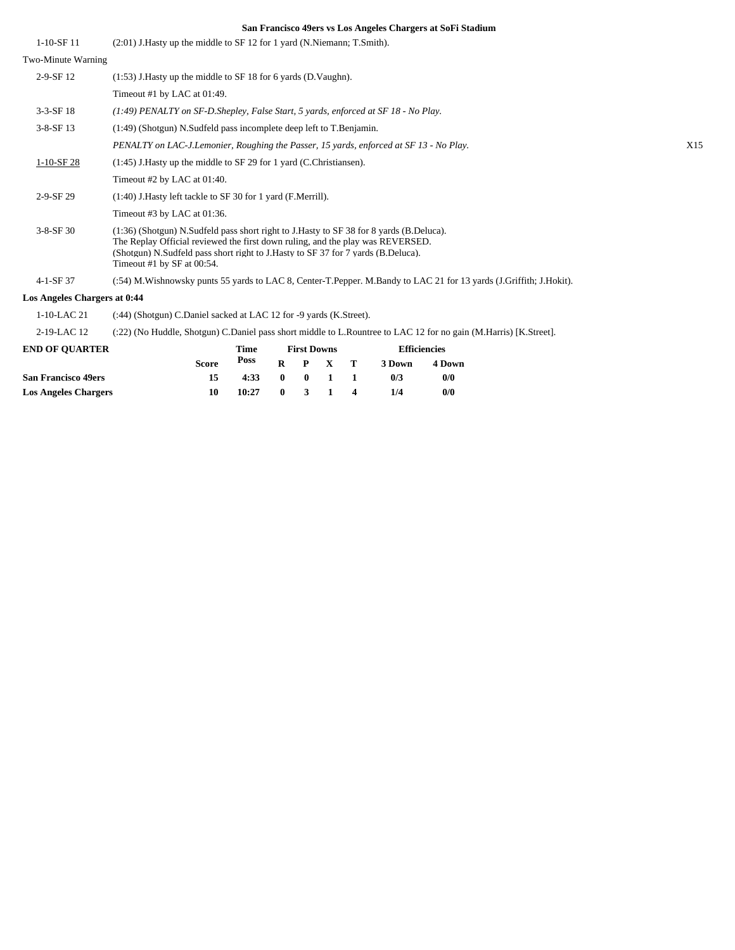| $1-10-SF11$                  | (2:01) J. Hasty up the middle to SF 12 for 1 yard (N. Niemann; T. Smith).                                                                                                                                                                                                                   |     |
|------------------------------|---------------------------------------------------------------------------------------------------------------------------------------------------------------------------------------------------------------------------------------------------------------------------------------------|-----|
| Two-Minute Warning           |                                                                                                                                                                                                                                                                                             |     |
| $2-9-SF12$                   | $(1:53)$ J. Hasty up the middle to SF 18 for 6 yards (D. Vaughn).                                                                                                                                                                                                                           |     |
|                              | Timeout #1 by LAC at 01:49.                                                                                                                                                                                                                                                                 |     |
| $3-3-SF$ 18                  | $(1.49)$ PENALTY on SF-D.Shepley, False Start, 5 yards, enforced at SF 18 - No Play.                                                                                                                                                                                                        |     |
| $3-8-SF$ 13                  | (1:49) (Shotgun) N.Sudfeld pass incomplete deep left to T.Benjamin.                                                                                                                                                                                                                         |     |
|                              | PENALTY on LAC-J.Lemonier, Roughing the Passer, 15 yards, enforced at SF 13 - No Play.                                                                                                                                                                                                      | X15 |
| $1-10-SF28$                  | $(1:45)$ J. Hasty up the middle to SF 29 for 1 yard (C. Christiansen).                                                                                                                                                                                                                      |     |
|                              | Timeout #2 by LAC at 01:40.                                                                                                                                                                                                                                                                 |     |
| 2-9-SF 29                    | (1:40) J. Hasty left tackle to SF 30 for 1 yard (F. Merrill).                                                                                                                                                                                                                               |     |
|                              | Timeout #3 by LAC at $01:36$ .                                                                                                                                                                                                                                                              |     |
| $3 - 8 - SF$ 30              | (1:36) (Shotgun) N.Sudfeld pass short right to J.Hasty to SF 38 for 8 yards (B.Deluca).<br>The Replay Official reviewed the first down ruling, and the play was REVERSED.<br>(Shotgun) N.Sudfeld pass short right to J.Hasty to SF 37 for 7 yards (B.Deluca).<br>Timeout #1 by SF at 00:54. |     |
| $4-1-SF37$                   | (:54) M. Wishnowsky punts 55 yards to LAC 8, Center-T. Pepper. M. Bandy to LAC 21 for 13 yards (J. Griffith; J. Hokit).                                                                                                                                                                     |     |
| Los Angeles Chargers at 0:44 |                                                                                                                                                                                                                                                                                             |     |
| 1-10-LAC 21                  | (:44) (Shotgun) C.Daniel sacked at LAC 12 for -9 yards (K.Street).                                                                                                                                                                                                                          |     |

2-19-LAC 12 (:22) (No Huddle, Shotgun) C.Daniel pass short middle to L.Rountree to LAC 12 for no gain (M.Harris) [K.Street].

| <b>END OF OUARTER</b>       |              | Time                  |  | <b>First Downs</b> |                | <b>Efficiencies</b> |        |  |  |
|-----------------------------|--------------|-----------------------|--|--------------------|----------------|---------------------|--------|--|--|
|                             | <b>Score</b> | Poss                  |  | $R$ $P$ $X$ $T$    |                | 3 Down              | 4 Down |  |  |
| <b>San Francisco 49ers</b>  | 15           | $4:33 \t 0 \t 0 \t 1$ |  |                    | $\blacksquare$ | 0/3                 | 0/0    |  |  |
| <b>Los Angeles Chargers</b> | 10           | 10:27                 |  | $0 \t3 \t1 \t4$    |                | 1/4                 | 0/0    |  |  |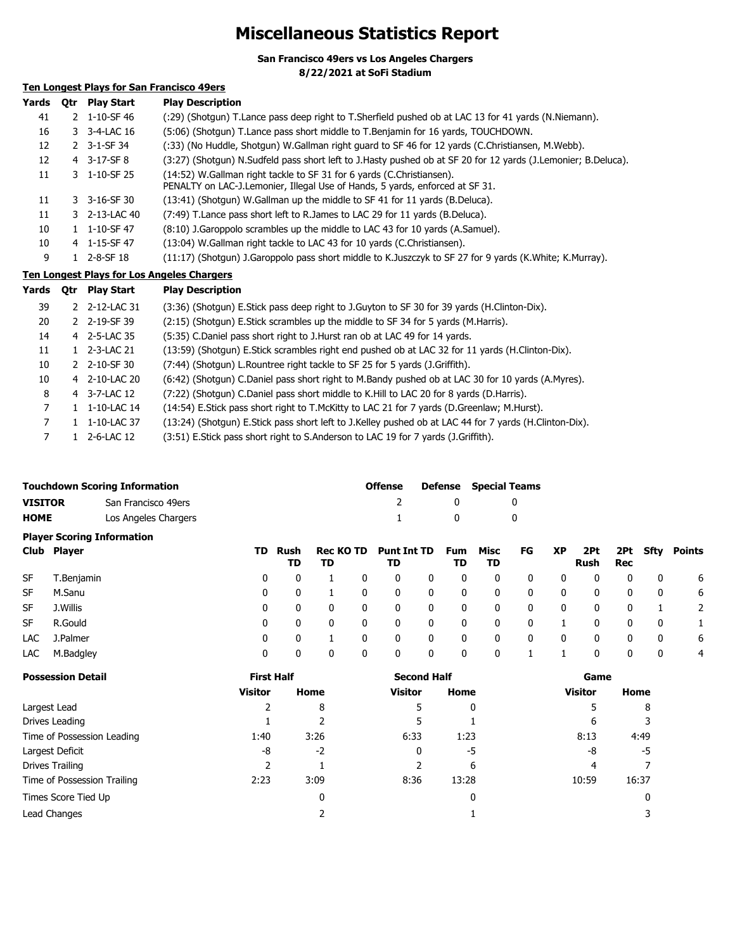# **Miscellaneous Statistics Report**

**San Francisco 49ers vs Los Angeles Chargers**

**8/22/2021 at SoFi Stadium**

## **Ten Longest Plays for San Francisco 49ers**

| Yards | <b>Otr</b> | <b>Play Start</b> | <b>Play Description</b>                                                                                                                               |
|-------|------------|-------------------|-------------------------------------------------------------------------------------------------------------------------------------------------------|
| 41    |            | 2 1-10-SF 46      | (:29) (Shotgun) T.Lance pass deep right to T.Sherfield pushed ob at LAC 13 for 41 yards (N.Niemann).                                                  |
| 16    |            | 3 3-4-LAC 16      | (5:06) (Shotgun) T.Lance pass short middle to T.Benjamin for 16 yards, TOUCHDOWN.                                                                     |
| 12    |            | 2 3-1-SF 34       | (:33) (No Huddle, Shotgun) W.Gallman right guard to SF 46 for 12 yards (C.Christiansen, M.Webb).                                                      |
| 12    |            | 4 3-17-SF8        | (3:27) (Shotgun) N.Sudfeld pass short left to J.Hasty pushed ob at SF 20 for 12 yards (J.Lemonier; B.Deluca).                                         |
| 11    |            | 3 1-10-SF 25      | (14:52) W.Gallman right tackle to SF 31 for 6 yards (C.Christiansen).<br>PENALTY on LAC-J.Lemonier, Illegal Use of Hands, 5 yards, enforced at SF 31. |
| 11    |            | 3 3-16-SF 30      | (13:41) (Shotgun) W.Gallman up the middle to SF 41 for 11 yards (B.Deluca).                                                                           |
| 11    |            | 3 2-13-LAC 40     | (7:49) T.Lance pass short left to R.James to LAC 29 for 11 yards (B.Deluca).                                                                          |
| 10    |            | 1 1-10-SF 47      | (8:10) J.Garoppolo scrambles up the middle to LAC 43 for 10 yards (A.Samuel).                                                                         |
| 10    |            | 4 1-15-SF 47      | (13:04) W.Gallman right tackle to LAC 43 for 10 yards (C.Christiansen).                                                                               |
| 9     |            | 1 2-8-SF 18       | (11:17) (Shotgun) J.Garoppolo pass short middle to K.Juszczyk to SF 27 for 9 yards (K.White; K.Murray).                                               |
|       |            |                   | <b>Ten Longest Plays for Los Angeles Chargers</b>                                                                                                     |
| Yards | Qtr        | <b>Play Start</b> | <b>Play Description</b>                                                                                                                               |
| 39    |            | 2 2-12-LAC 31     | (3:36) (Shotgun) E.Stick pass deep right to J.Guyton to SF 30 for 39 yards (H.Clinton-Dix).                                                           |
| 20    |            | 2 2-19-SF 39      | (2:15) (Shotgun) E. Stick scrambles up the middle to SF 34 for 5 yards (M. Harris).                                                                   |
| 14    |            | 4 2-5-LAC 35      | (5:35) C.Daniel pass short right to J.Hurst ran ob at LAC 49 for 14 yards.                                                                            |
| 11    |            | 1 2-3-LAC 21      | (13:59) (Shotgun) E.Stick scrambles right end pushed ob at LAC 32 for 11 yards (H.Clinton-Dix).                                                       |
| 10    |            | 2 2-10-SF 30      | (7:44) (Shotgun) L. Rountree right tackle to SF 25 for 5 yards (J. Griffith).                                                                         |
| 10    |            | 4 2-10-LAC 20     | (6:42) (Shotgun) C.Daniel pass short right to M.Bandy pushed ob at LAC 30 for 10 yards (A.Myres).                                                     |
| 8     |            | 4 3-7-LAC 12      | (7:22) (Shotgun) C.Daniel pass short middle to K.Hill to LAC 20 for 8 yards (D.Harris).                                                               |
| 7     |            | 1 1-10-LAC 14     | (14:54) E. Stick pass short right to T. McKitty to LAC 21 for 7 yards (D. Greenlaw; M. Hurst).                                                        |
| 7     |            | 1 1-10-LAC 37     | (13:24) (Shotgun) E.Stick pass short left to J.Kelley pushed ob at LAC 44 for 7 yards (H.Clinton-Dix).                                                |

7 1 2-6-LAC 12 (3:51) E.Stick pass short right to S.Anderson to LAC 19 for 7 yards (J.Griffith).

|                                   | <b>Touchdown Scoring Information</b> | Offense |              | <b>Defense</b> Special Teams |
|-----------------------------------|--------------------------------------|---------|--------------|------------------------------|
| <b>VISITOR</b>                    | San Francisco 49ers                  |         |              |                              |
| <b>HOME</b>                       | Los Angeles Chargers                 |         | $\mathbf{u}$ |                              |
| <b>Plaver Scoring Information</b> |                                      |         |              |                              |

|           | Club Player  |              | TD Rush<br>TD | TD       |              | Rec KO TD Punt Int TD Fum Misc<br>TD |              | TD. | TD.          | FG | <b>XP</b>   | Rush | Rec |              | 2Pt 2Pt Sfty Points |
|-----------|--------------|--------------|---------------|----------|--------------|--------------------------------------|--------------|-----|--------------|----|-------------|------|-----|--------------|---------------------|
| <b>SF</b> | T.Benjamin   | 0            | 0             |          | 0            | 0                                    | $\mathbf{0}$ | 0   | 0            | 0  | 0           | 0    | 0   | $\mathbf{0}$ | 6                   |
| SF.       | M.Sanu       | 0            | 0             |          | $\mathbf{0}$ | 0                                    | $\mathbf{0}$ | 0   | $\mathbf 0$  | 0  | 0           | 0    | 0   | 0            | 6                   |
| <b>SF</b> | J.Willis     | 0            | 0             | $\Omega$ | $\mathbf{0}$ | 0                                    | $\mathbf{0}$ | 0   | $\mathbf 0$  | 0  | $\mathbf 0$ | 0    | 0   |              | 2                   |
| SF        | R.Gould      | $\mathbf{0}$ | 0             |          | $\mathbf{0}$ | 0                                    | 0            | 0   | $\mathbf{0}$ | 0  |             | 0    | 0   | 0            |                     |
|           | LAC J.Palmer | 0            | 0             |          | 0            | 0                                    | $\mathbf{0}$ | 0   | $\mathbf{0}$ | 0  | 0           | 0    | 0   | $\mathbf{0}$ | 6                   |
| LAC       | M.Badgley    | 0            | 0             |          | 0            | 0                                    | 0            | 0   | $\mathbf 0$  |    |             |      | 0   | 0            | 4                   |

| <b>Possession Detail</b>    | <b>First Half</b> |      | <b>Second Half</b> |       | Game           |       |  |  |
|-----------------------------|-------------------|------|--------------------|-------|----------------|-------|--|--|
|                             | <b>Visitor</b>    | Home | <b>Visitor</b>     | Home  | <b>Visitor</b> | Home  |  |  |
| Largest Lead                |                   | 8    | 5                  | 0     |                | 8     |  |  |
| Drives Leading              |                   |      | 5.                 |       | 6              |       |  |  |
| Time of Possession Leading  | 1:40              | 3:26 | 6:33               | 1:23  | 8:13           | 4:49  |  |  |
| Largest Deficit             | -8                | $-2$ | 0                  | -5    | -8             | -5    |  |  |
| Drives Trailing             |                   |      |                    | 6     |                |       |  |  |
| Time of Possession Trailing | 2:23              | 3:09 | 8:36               | 13:28 | 10:59          | 16:37 |  |  |
| Times Score Tied Up         |                   | 0    |                    |       |                |       |  |  |
| Lead Changes                |                   |      |                    |       |                |       |  |  |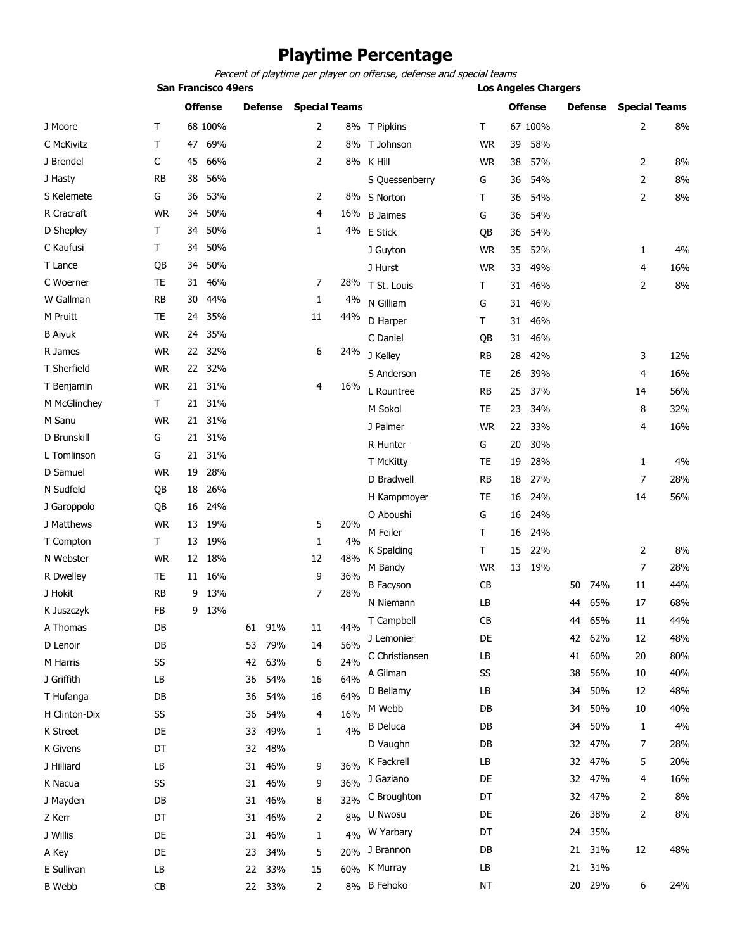## **Playtime Percentage**

Percent of playtime per player on offense, defense and special teams

|                |           | <b>San Francisco 49ers</b> |                |    |                |                      |     |                  |           |    | <b>Los Angeles Chargers</b> |    |                |                      |       |  |  |
|----------------|-----------|----------------------------|----------------|----|----------------|----------------------|-----|------------------|-----------|----|-----------------------------|----|----------------|----------------------|-------|--|--|
|                |           |                            | <b>Offense</b> |    | <b>Defense</b> | <b>Special Teams</b> |     |                  |           |    | <b>Offense</b>              |    | <b>Defense</b> | <b>Special Teams</b> |       |  |  |
| J Moore        | т         |                            | 68 100%        |    |                | 2                    |     | 8% T Pipkins     | т         |    | 67 100%                     |    |                | 2                    | 8%    |  |  |
| C McKivitz     | т         | 47                         | 69%            |    |                | 2                    |     | 8% T Johnson     | <b>WR</b> | 39 | 58%                         |    |                |                      |       |  |  |
| J Brendel      | С         | 45                         | 66%            |    |                | 2                    |     | 8% K Hill        | <b>WR</b> | 38 | 57%                         |    |                | 2                    | 8%    |  |  |
| J Hasty        | <b>RB</b> | 38                         | 56%            |    |                |                      |     | S Quessenberry   | G         | 36 | 54%                         |    |                | $\overline{2}$       | 8%    |  |  |
| S Kelemete     | G         | 36                         | 53%            |    |                | 2                    |     | 8% S Norton      | Т         | 36 | 54%                         |    |                | 2                    | $8\%$ |  |  |
| R Cracraft     | <b>WR</b> | 34                         | 50%            |    |                | 4                    | 16% | <b>B</b> Jaimes  | G         | 36 | 54%                         |    |                |                      |       |  |  |
| D Shepley      | T.        | 34                         | 50%            |    |                | $\mathbf{1}$         |     | 4% E Stick       | QB        | 36 | 54%                         |    |                |                      |       |  |  |
| C Kaufusi      | T.        | 34                         | 50%            |    |                |                      |     | J Guyton         | <b>WR</b> | 35 | 52%                         |    |                | 1                    | 4%    |  |  |
| T Lance        | QB        | 34                         | 50%            |    |                |                      |     | J Hurst          | <b>WR</b> | 33 | 49%                         |    |                | 4                    | 16%   |  |  |
| C Woerner      | <b>TE</b> | 31                         | 46%            |    |                | 7                    | 28% | T St. Louis      | т         | 31 | 46%                         |    |                | 2                    | $8\%$ |  |  |
| W Gallman      | <b>RB</b> | 30                         | 44%            |    |                | 1                    | 4%  | N Gilliam        | G         | 31 | 46%                         |    |                |                      |       |  |  |
| M Pruitt       | <b>TE</b> | 24                         | 35%            |    |                | 11                   | 44% | D Harper         | Τ         | 31 | 46%                         |    |                |                      |       |  |  |
| <b>B</b> Aiyuk | <b>WR</b> | 24                         | 35%            |    |                |                      |     | C Daniel         | QB        | 31 | 46%                         |    |                |                      |       |  |  |
| R James        | <b>WR</b> | 22                         | 32%            |    |                | 6                    | 24% | J Kelley         | <b>RB</b> | 28 | 42%                         |    |                | 3                    | 12%   |  |  |
| T Sherfield    | <b>WR</b> | 22                         | 32%            |    |                |                      |     | S Anderson       | TE        | 26 | 39%                         |    |                | 4                    | 16%   |  |  |
| T Benjamin     | <b>WR</b> | 21                         | 31%            |    |                | 4                    | 16% | L Rountree       | RB        | 25 | 37%                         |    |                | 14                   | 56%   |  |  |
| M McGlinchey   | T.        | 21                         | 31%            |    |                |                      |     | M Sokol          | TE        | 23 | 34%                         |    |                | 8                    | 32%   |  |  |
| M Sanu         | <b>WR</b> |                            | 21 31%         |    |                |                      |     | J Palmer         | <b>WR</b> | 22 | 33%                         |    |                | 4                    | 16%   |  |  |
| D Brunskill    | G         | 21                         | 31%            |    |                |                      |     | R Hunter         | G         | 20 | 30%                         |    |                |                      |       |  |  |
| L Tomlinson    | G         | 21                         | 31%            |    |                |                      |     | T McKitty        | TE        | 19 | 28%                         |    |                | 1                    | 4%    |  |  |
| D Samuel       | <b>WR</b> | 19                         | 28%            |    |                |                      |     | D Bradwell       | RB        | 18 | 27%                         |    |                | 7                    | 28%   |  |  |
| N Sudfeld      | QB        | 18                         | 26%            |    |                |                      |     | H Kampmoyer      | TE        | 16 | 24%                         |    |                | 14                   | 56%   |  |  |
| J Garoppolo    | QB        | 16                         | 24%            |    |                |                      |     | O Aboushi        | G         | 16 | 24%                         |    |                |                      |       |  |  |
| J Matthews     | <b>WR</b> | 13                         | 19%            |    |                | 5                    | 20% | M Feiler         | Τ         | 16 | 24%                         |    |                |                      |       |  |  |
| T Compton      | T.        | 13                         | 19%            |    |                | 1                    | 4%  | K Spalding       | т         | 15 | 22%                         |    |                | 2                    | 8%    |  |  |
| N Webster      | <b>WR</b> | 12                         | 18%            |    |                | 12                   | 48% | M Bandy          | <b>WR</b> | 13 | 19%                         |    |                | 7                    | 28%   |  |  |
| R Dwelley      | <b>TE</b> | 11                         | 16%            |    |                | 9                    | 36% | <b>B</b> Facyson | CB        |    |                             | 50 | 74%            | 11                   | 44%   |  |  |
| J Hokit        | <b>RB</b> | 9                          | 13%            |    |                | 7                    | 28% | N Niemann        | LB        |    |                             | 44 | 65%            | 17                   | 68%   |  |  |
| K Juszczyk     | FB        | 9                          | 13%            |    |                |                      |     | T Campbell       | CB        |    |                             | 44 | 65%            | $11\,$               | 44%   |  |  |
| A Thomas       | DB        |                            |                |    | 61 91%         | 11                   | 44% | J Lemonier       | DE        |    |                             | 42 | 62%            | 12                   | 48%   |  |  |
| D Lenoir       | DB        |                            |                | 53 | 79%            | 14                   | 56% | C Christiansen   | LB        |    |                             | 41 | 60%            | 20                   | 80%   |  |  |
| M Harris       | SS        |                            |                | 42 | 63%            | 6                    | 24% | A Gilman         | SS        |    |                             | 38 | 56%            | 10                   | 40%   |  |  |
| J Griffith     | LB        |                            |                | 36 | 54%            | 16                   | 64% | D Bellamy        | LB        |    |                             | 34 | 50%            | 12                   | 48%   |  |  |
| T Hufanga      | DB        |                            |                | 36 | 54%            | 16                   | 64% | M Webb           | DB        |    |                             | 34 | 50%            | 10                   | 40%   |  |  |
| H Clinton-Dix  | SS        |                            |                | 36 | 54%            | 4                    | 16% | <b>B</b> Deluca  | DB        |    |                             | 34 | 50%            | 1                    | 4%    |  |  |
| K Street       | DE        |                            |                | 33 | 49%            | 1                    | 4%  | D Vaughn         | DB        |    |                             | 32 | 47%            | 7                    | 28%   |  |  |
| K Givens       | DT        |                            |                | 32 | 48%            |                      |     | K Fackrell       | LB        |    |                             | 32 | 47%            | 5                    | 20%   |  |  |
| J Hilliard     | LB        |                            |                | 31 | 46%            | 9                    | 36% |                  | DE        |    |                             | 32 | 47%            |                      | 16%   |  |  |
| K Nacua        | SS        |                            |                | 31 | 46%            | 9                    | 36% | J Gaziano        |           |    |                             |    |                | 4                    |       |  |  |
| J Mayden       | DB        |                            |                | 31 | 46%            | 8                    | 32% | C Broughton      | DT        |    |                             | 32 | 47%            | 2                    | 8%    |  |  |
| Z Kerr         | DT        |                            |                | 31 | 46%            | 2                    | 8%  | U Nwosu          | DE        |    |                             | 26 | 38%            | 2                    | 8%    |  |  |
| J Willis       | DE        |                            |                | 31 | 46%            | 1                    | 4%  | W Yarbary        | DT        |    |                             | 24 | 35%            |                      |       |  |  |
| A Key          | DE        |                            |                | 23 | 34%            | 5                    | 20% | J Brannon        | DB        |    |                             | 21 | 31%            | 12                   | 48%   |  |  |
| E Sullivan     | LB        |                            |                | 22 | 33%            | 15                   | 60% | K Murray         | LB        |    |                             | 21 | 31%            |                      |       |  |  |
| <b>B</b> Webb  | CB        |                            |                |    | 22 33%         | 2                    |     | 8% B Fehoko      | ΝT        |    |                             |    | 20 29%         | 6                    | 24%   |  |  |